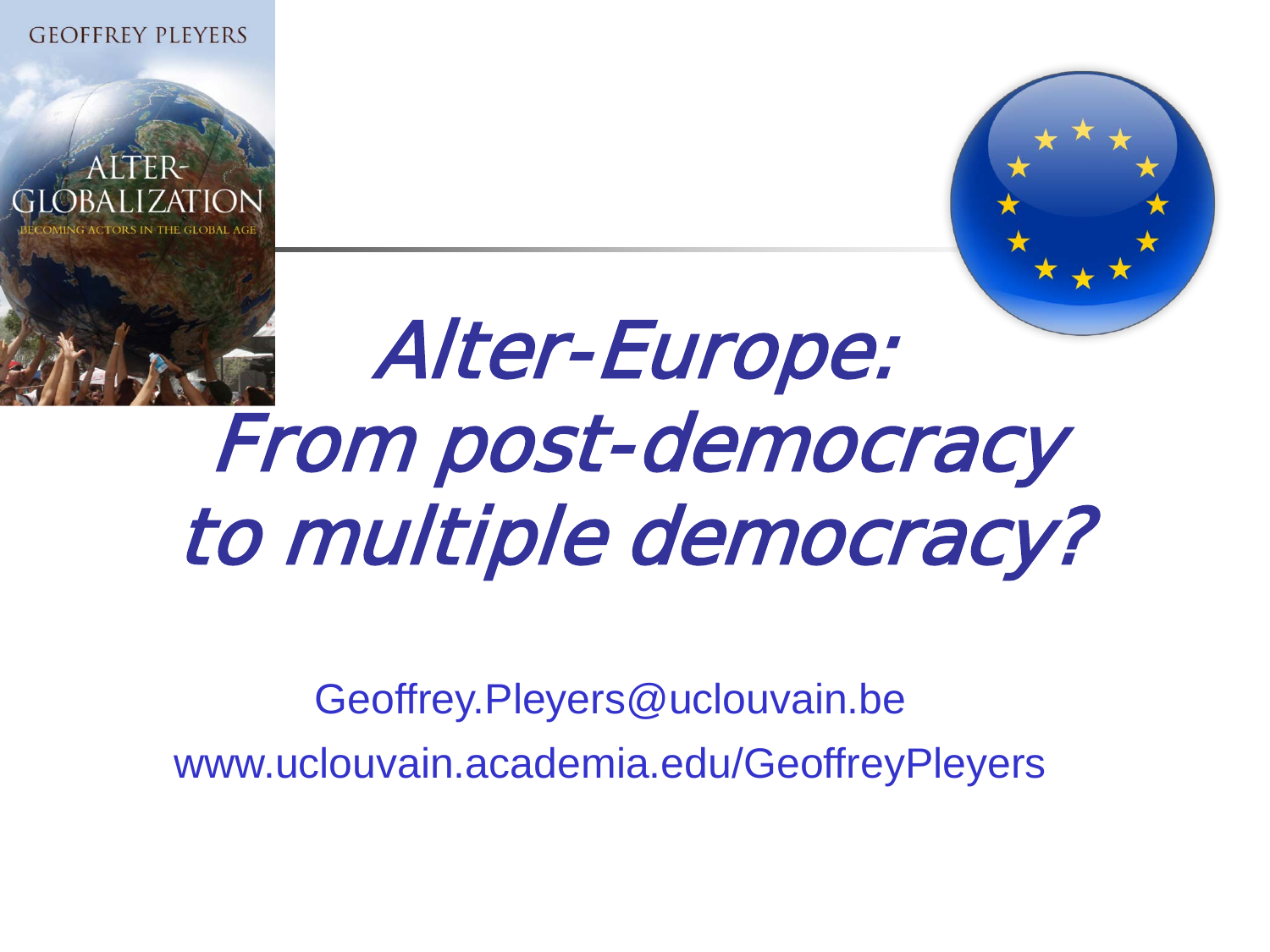**GEOFFREY PLEYERS** 



# Alter-Europe: From post-democracy to multiple democracy?

Geoffrey.Pleyers@uclouvain.be www.uclouvain.academia.edu/GeoffreyPleyers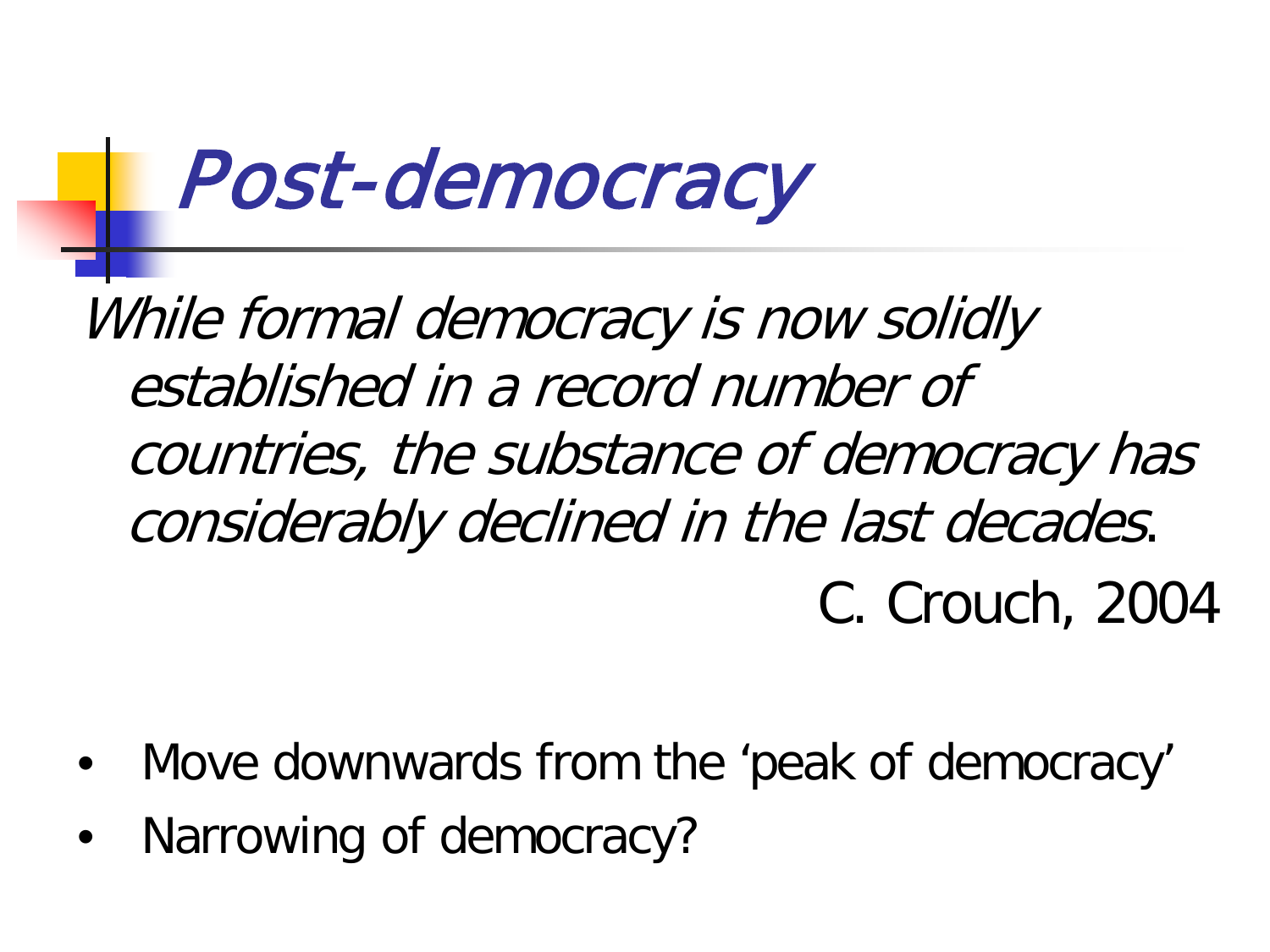## Post-democracy

While formal democracy is now solidly established in a record number of countries, the substance of democracy has considerably declined in the last decades. C. Crouch, 2004

- Move downwards from the 'peak of democracy'
- Narrowing of democracy?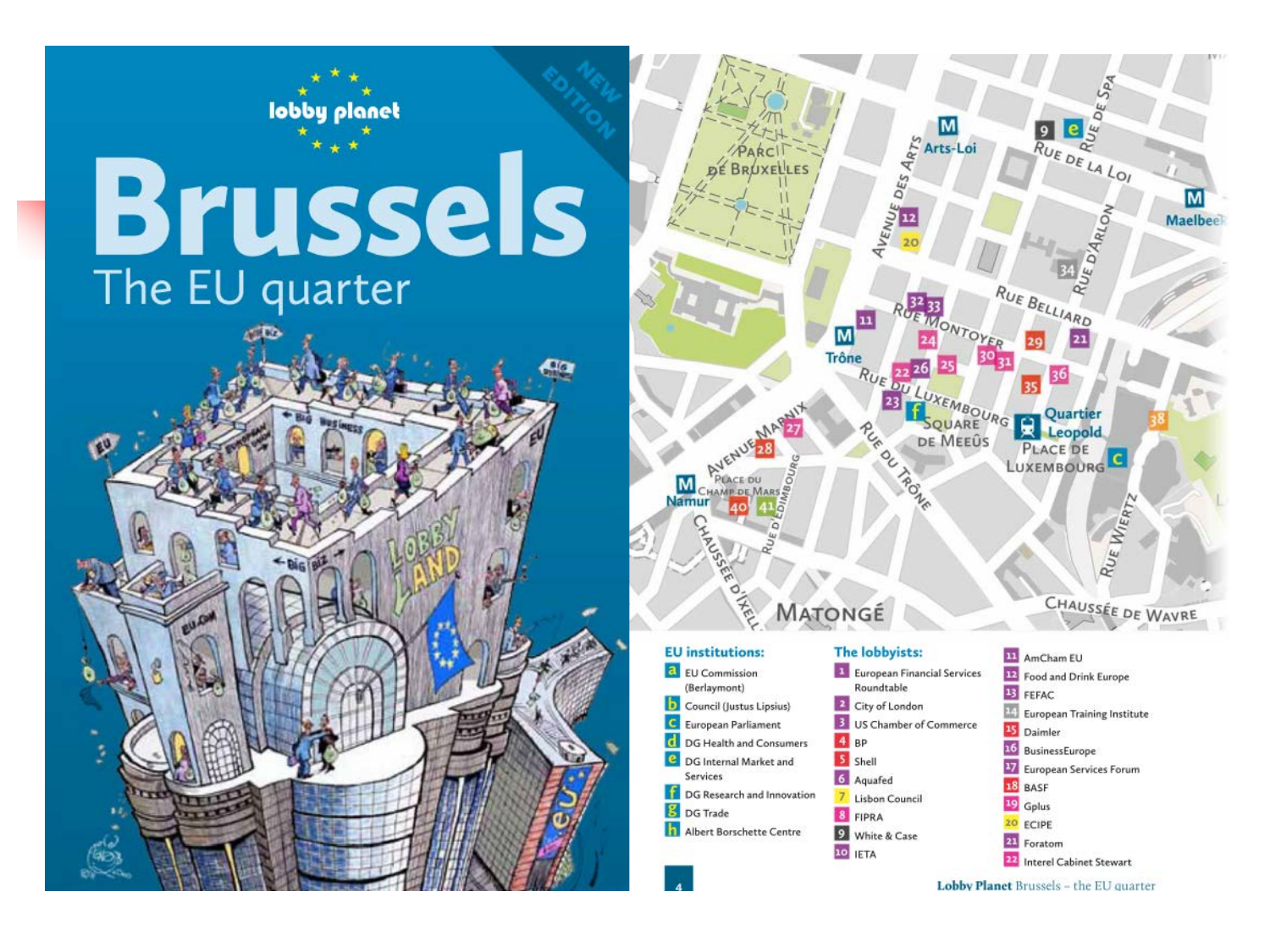

 $R$ UE DE LA LOI M **Maelbee** RUE BELLIARD **BULUXEMBOURG E Quartes** LUXEMBOURG CHAUSSÉE DE WAVRE 11 AmCham EU European Financial Services **12** Food and Drink Europe 13 FEFAC

Lobby Planet Brussels - the EU quarter

22 Interel Cabinet Stewart

**European Training Institute** 

17 European Services Forum

 $14$ 

15 Daimler

18 BASE

<sup>19</sup> Gplus

20 ECIPE

21 Foratom

16 BusinessEurope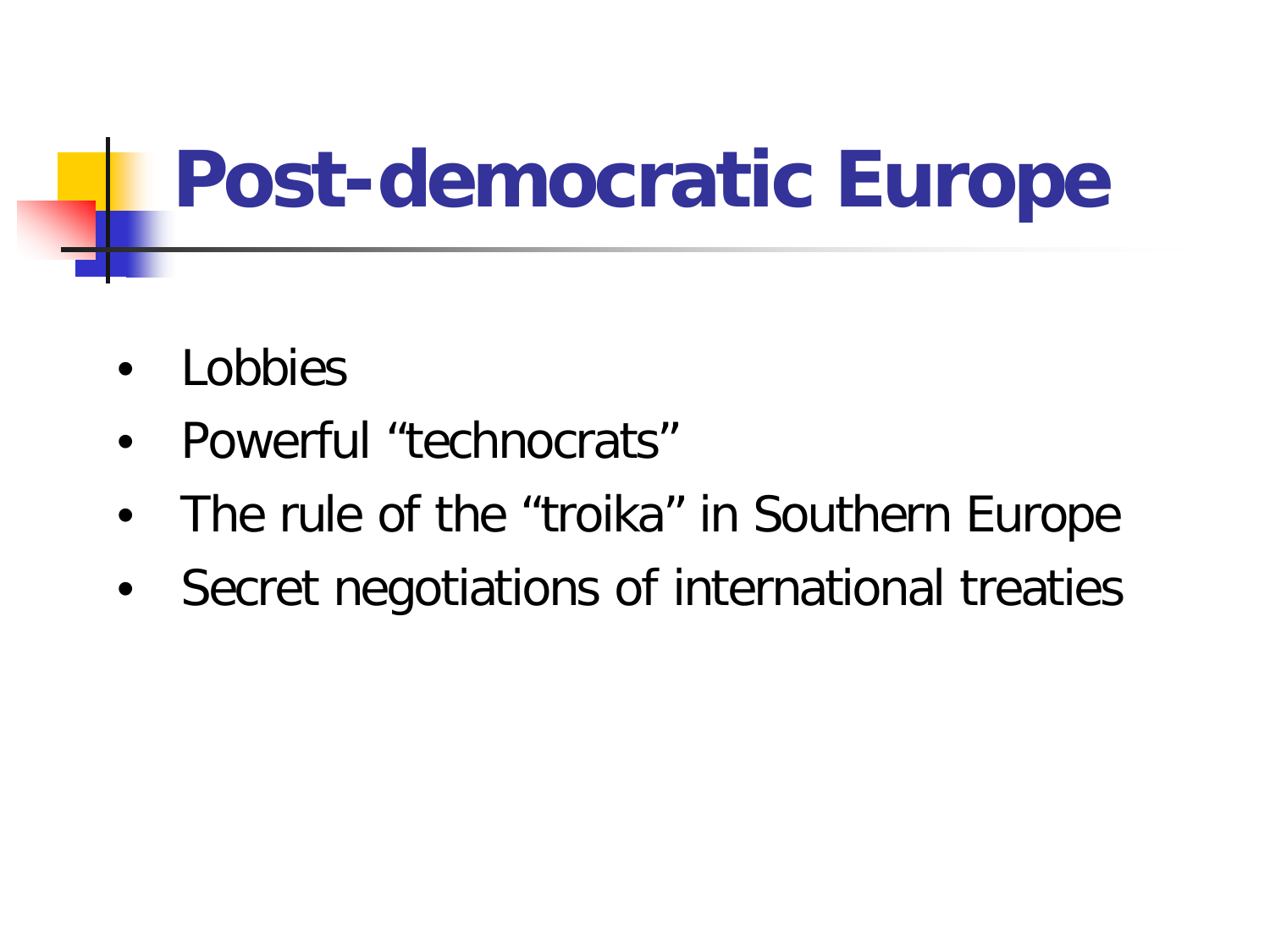## **Post-democratic Europe**

- **Lobbies**
- Powerful "technocrats"
- The rule of the "troika" in Southern Europe
- Secret negotiations of international treaties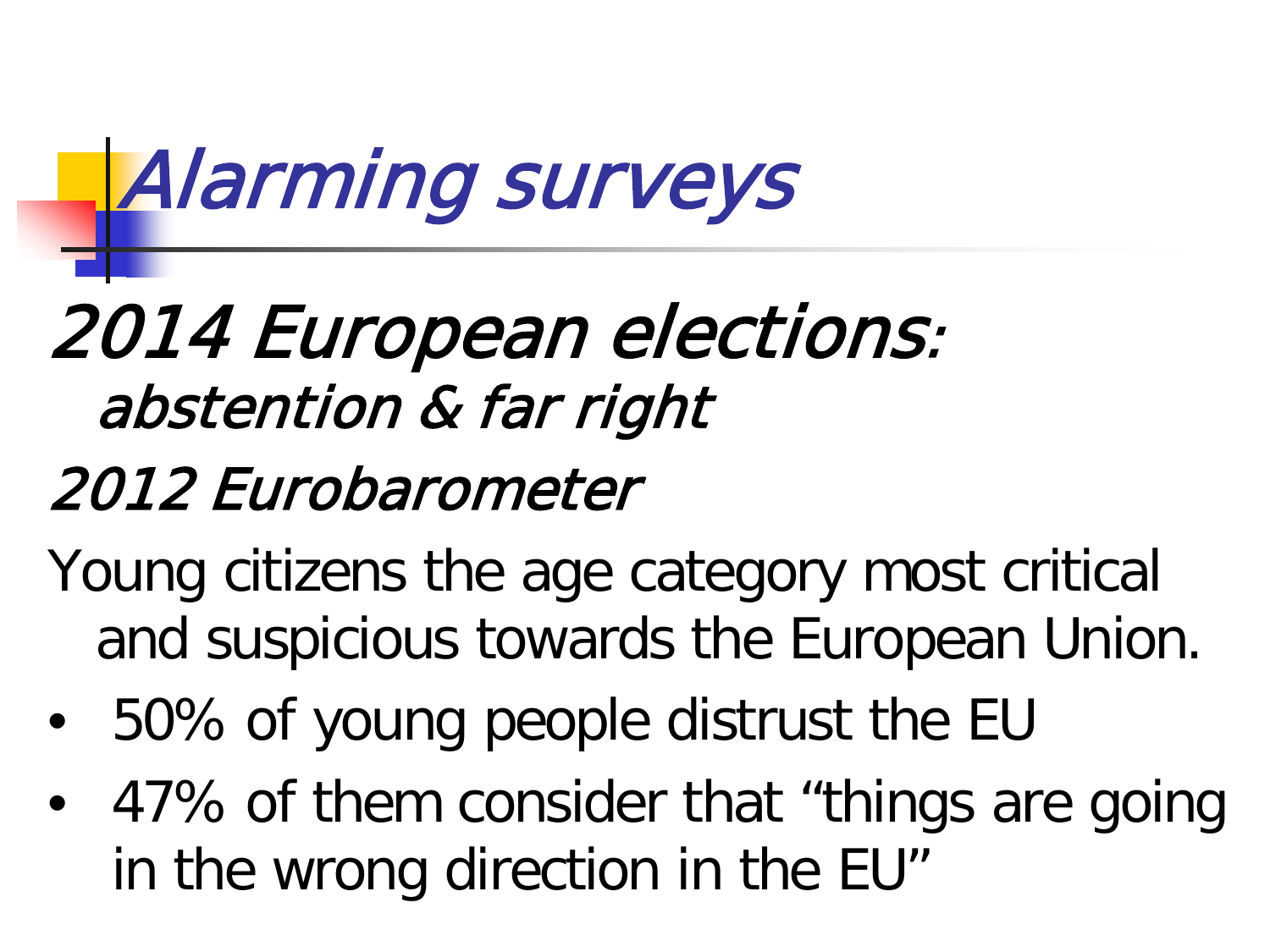# Alarming surveys

## 2014 European elections: abstention & far right

### 2012 Eurobarometer

- Young citizens the age category most critical and suspicious towards the European Union.
- 50% of young people distrust the EU
- 47% of them consider that "things are going in the wrong direction in the EU"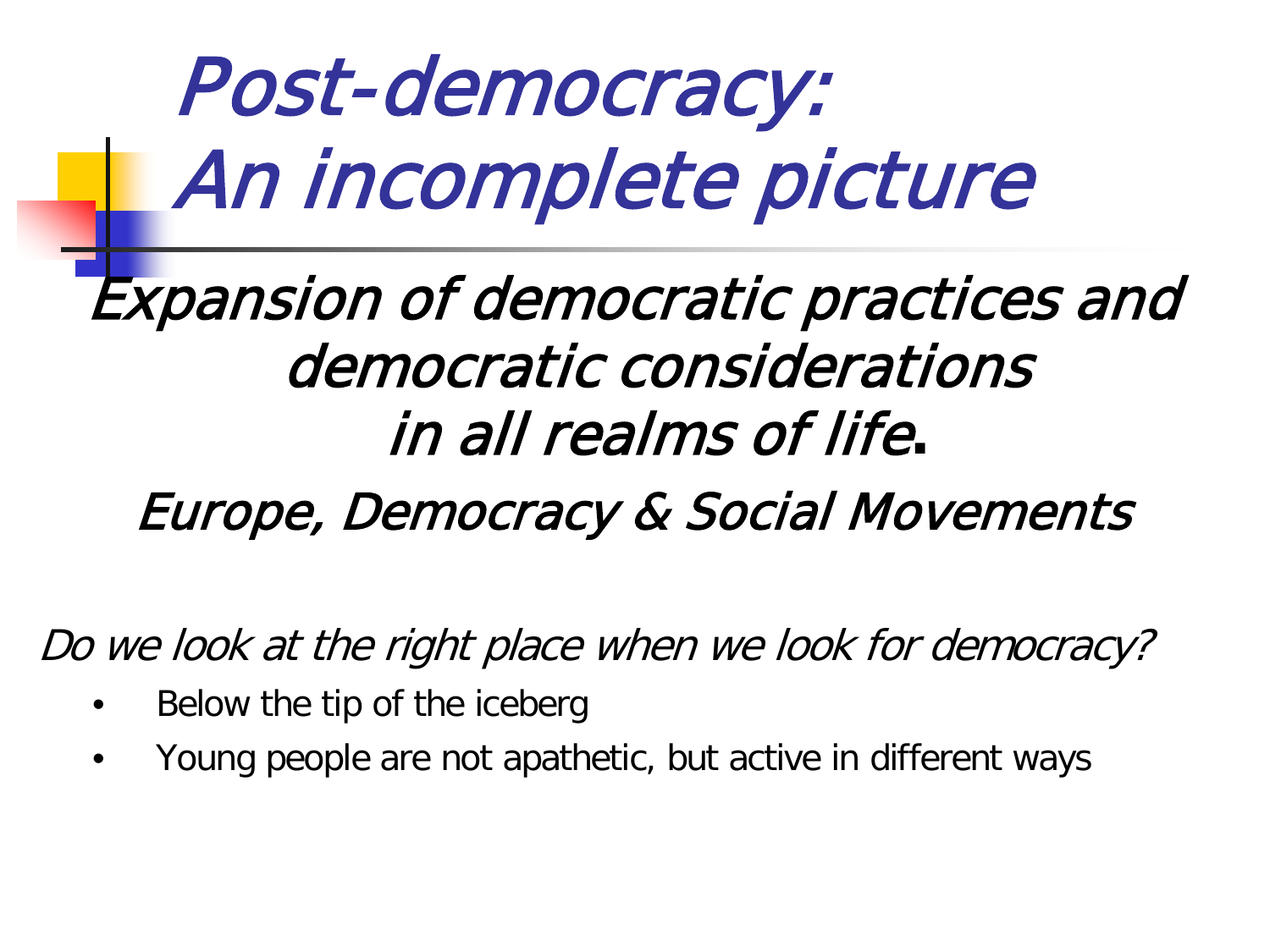Post-democracy: An incomplete picture

### Expansion of democratic practices and democratic considerations in all realms of life**.**

### Europe, Democracy & Social Movements

Do we look at the right place when we look for democracy?

- Below the tip of the iceberg
- Young people are not apathetic, but active in different ways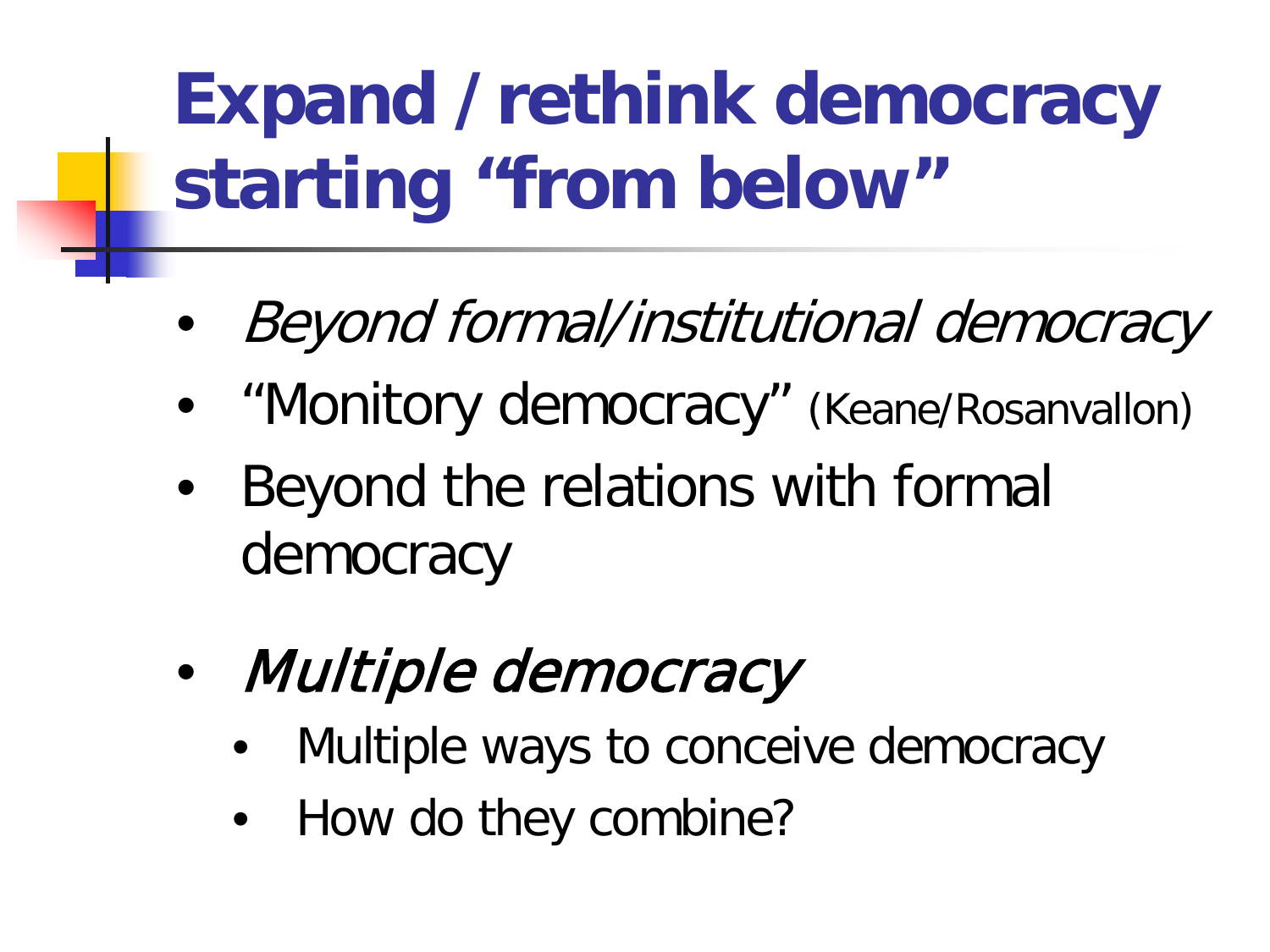## **Expand /rethink democracy starting "from below"**

- Beyond formal/institutional democracy
- "Monitory democracy" (Keane/Rosanvallon)
- Beyond the relations with formal democracy
- Multiple democracy
	- Multiple ways to conceive democracy
	- How do they combine?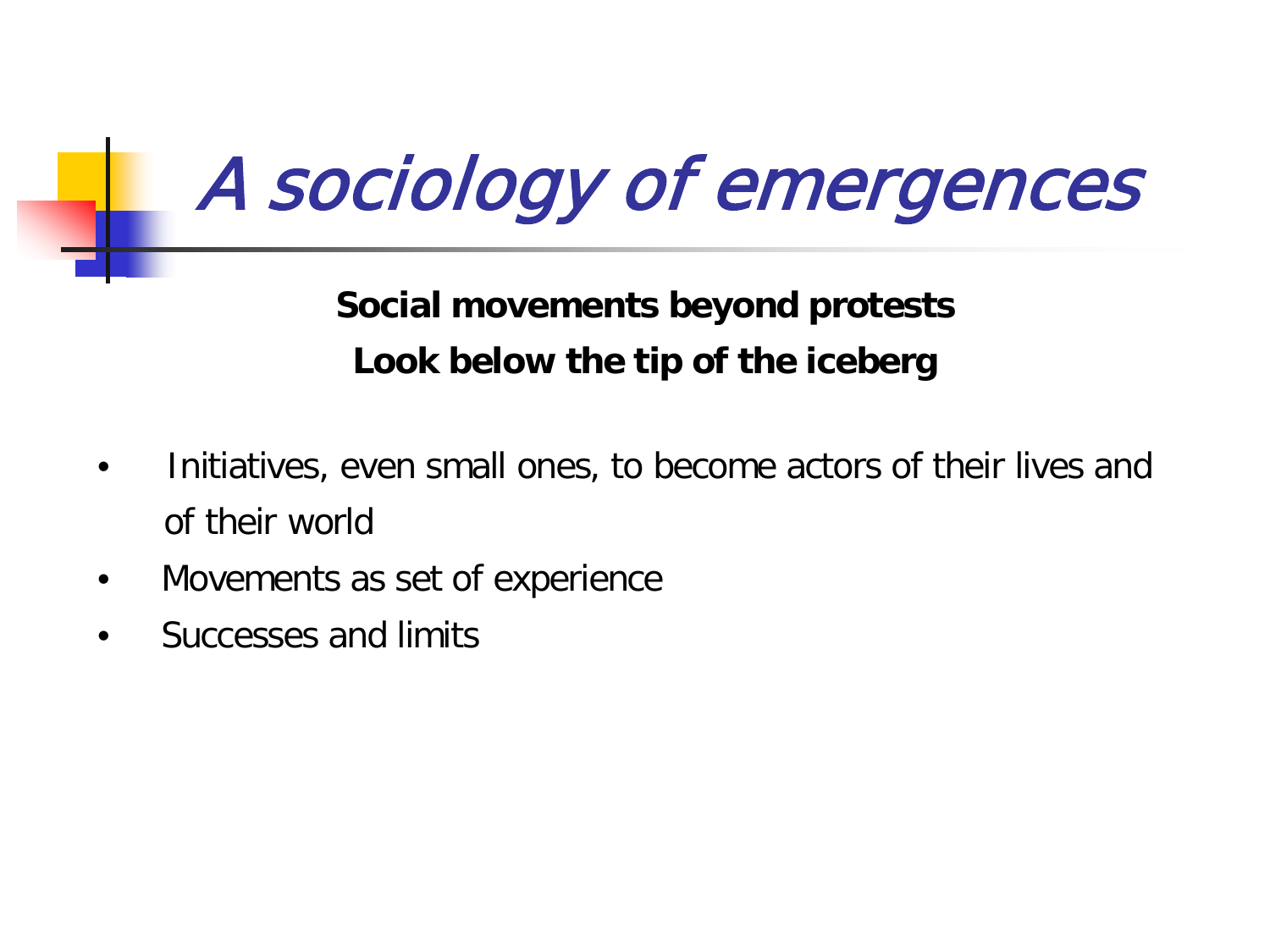## A sociology of emergences

**Social movements beyond protests Look below the tip of the iceberg**

- Initiatives, even small ones, to become actors of their lives and of their world
- Movements as set of experience
- Successes and limits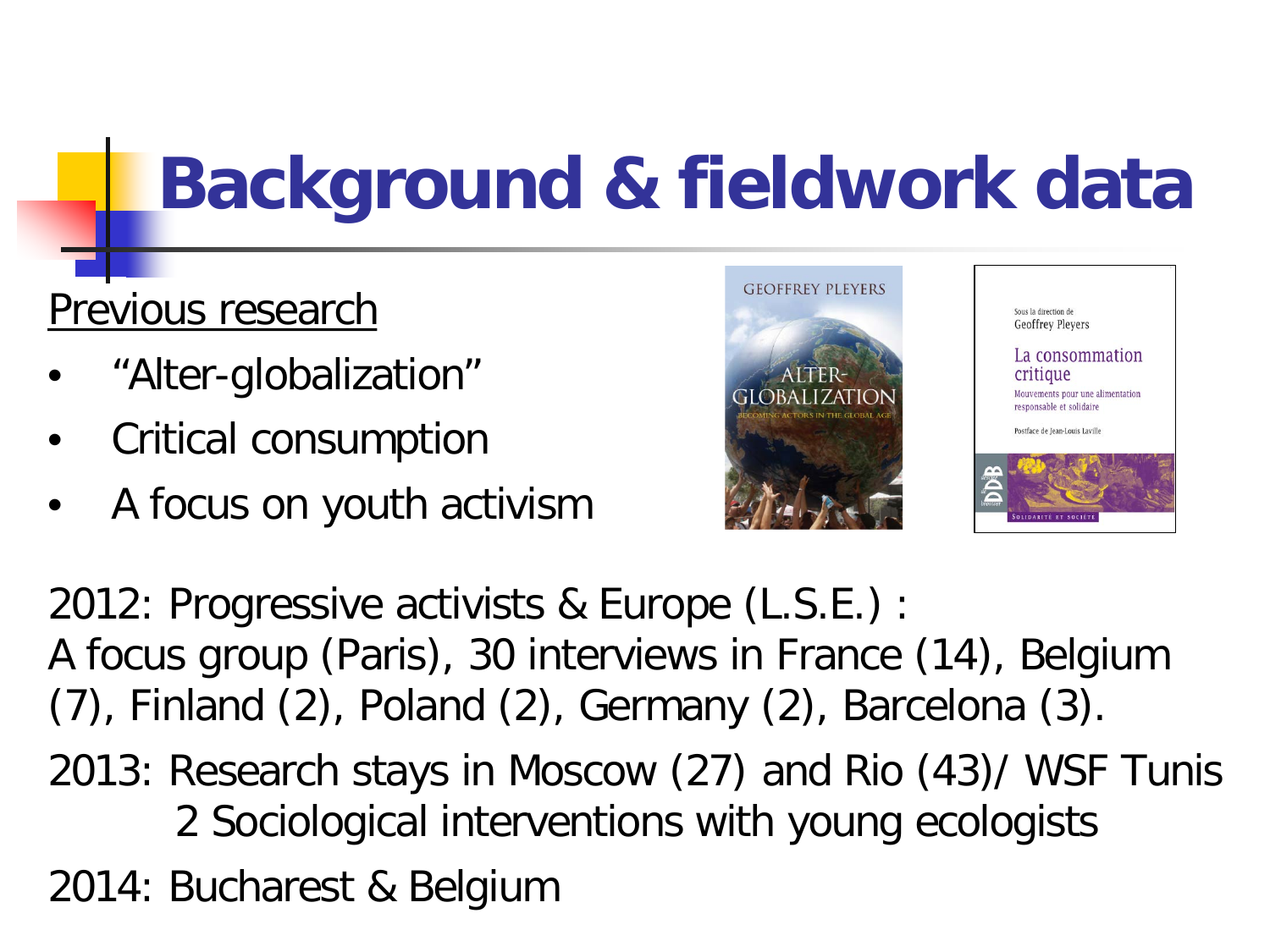## **Background & fieldwork data**

#### Previous research

- "Alter-globalization"
- Critical consumption
- A focus on youth activism





2012: Progressive activists & Europe (L.S.E.) : A focus group (Paris), 30 interviews in France (14), Belgium (7), Finland (2), Poland (2), Germany (2), Barcelona (3). 2013: Research stays in Moscow (27) and Rio (43)/ WSF Tunis 2 Sociological interventions with young ecologists 2014: Bucharest & Belgium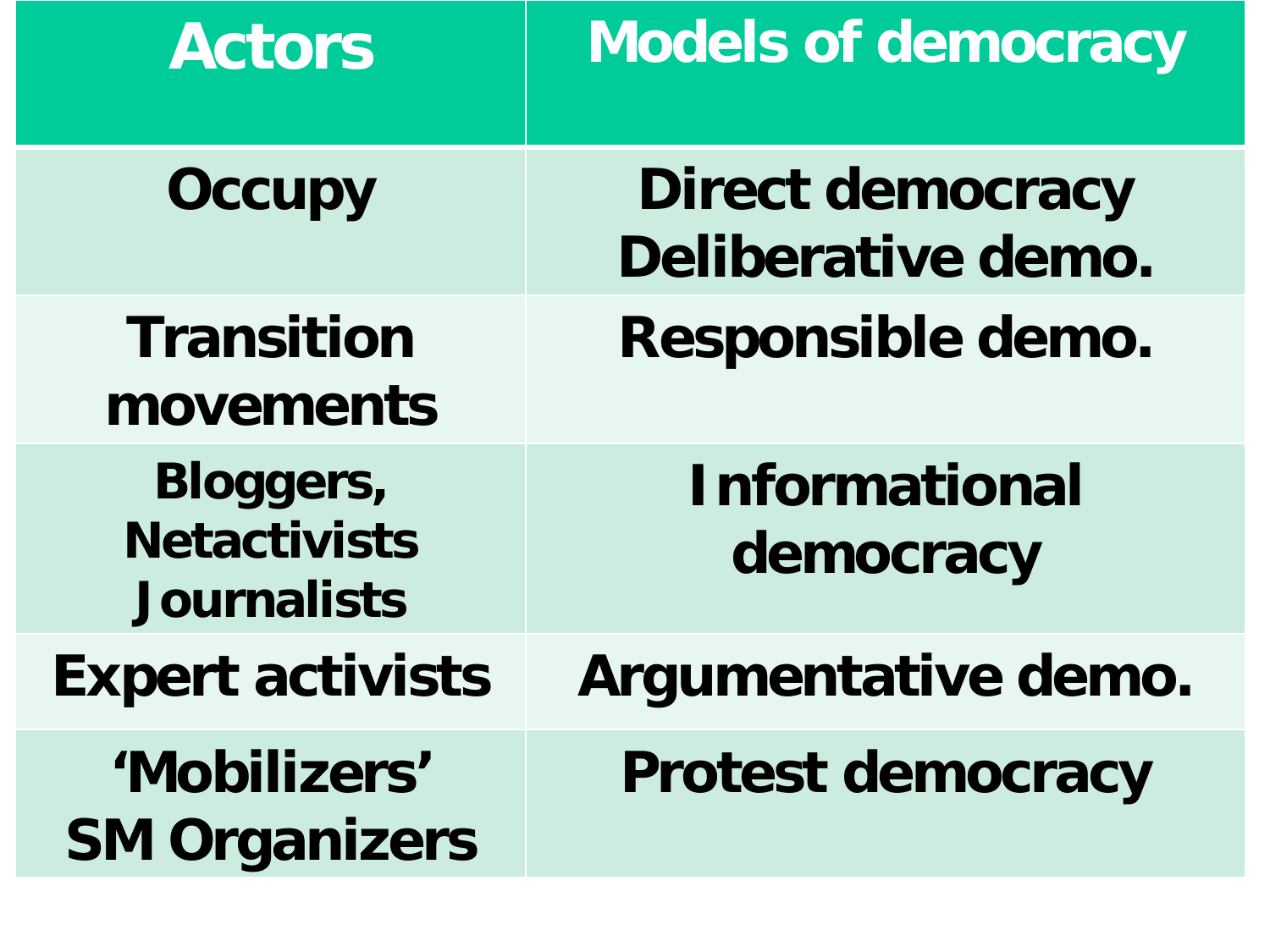| <b>Actors</b>                                          | <b>Models of democracy</b>                    |
|--------------------------------------------------------|-----------------------------------------------|
| <b>Occupy</b>                                          | <b>Direct democracy</b><br>Deliberative demo. |
| <b>Transition</b><br>movements                         | Responsible demo.                             |
| Bloggers,<br><b>Netactivists</b><br><b>Journalists</b> | <b>Informational</b><br>democracy             |
| <b>Expert activists</b>                                | Argumentative demo.                           |
| 'Mobilizers'<br><b>SM Organizers</b>                   | <b>Protest democracy</b>                      |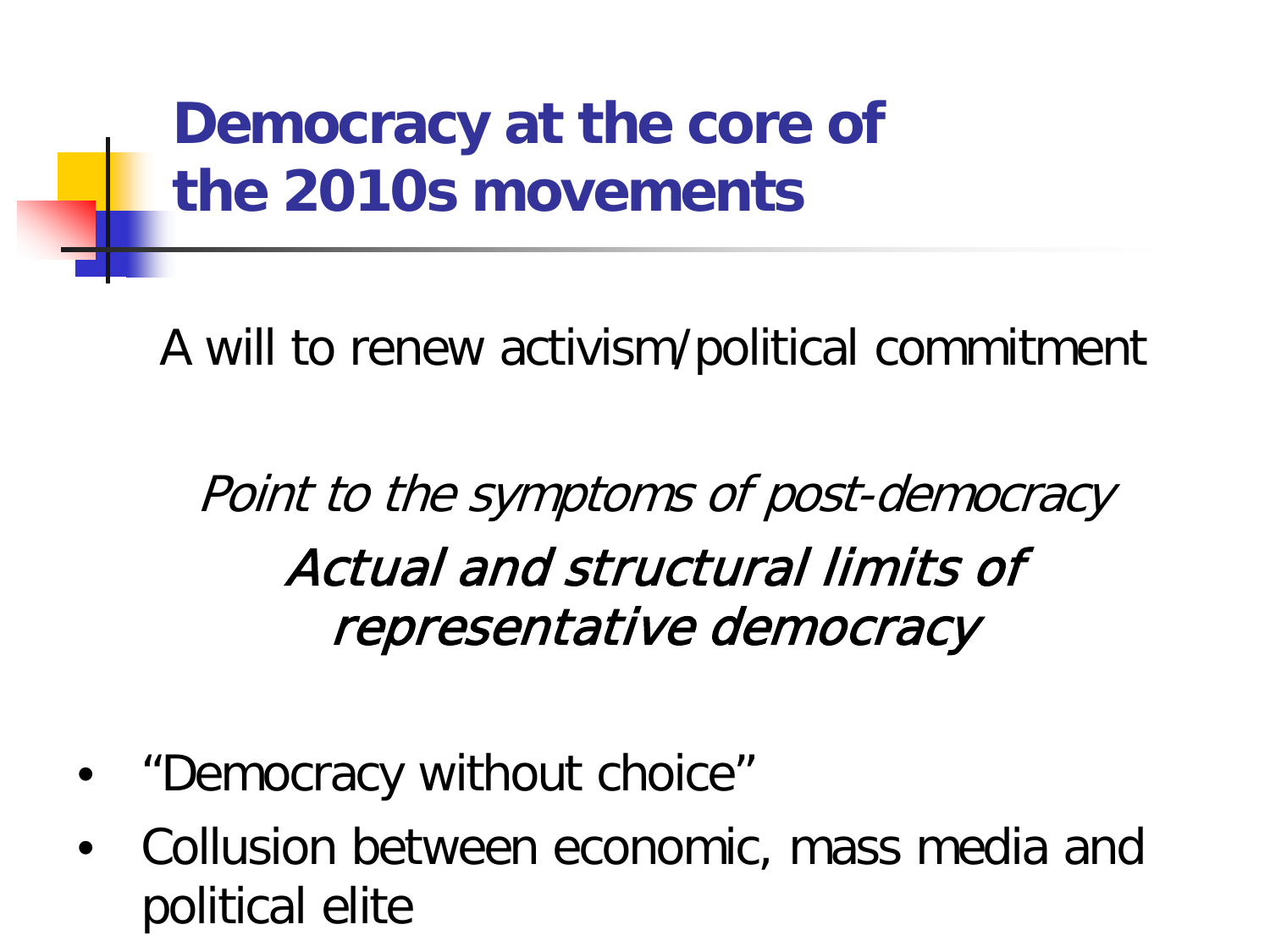**Democracy at the core of the 2010s movements**

A will to renew activism/political commitment

Point to the symptoms of post-democracy Actual and structural limits of representative democracy

- "Democracy without choice"
- Collusion between economic, mass media and political elite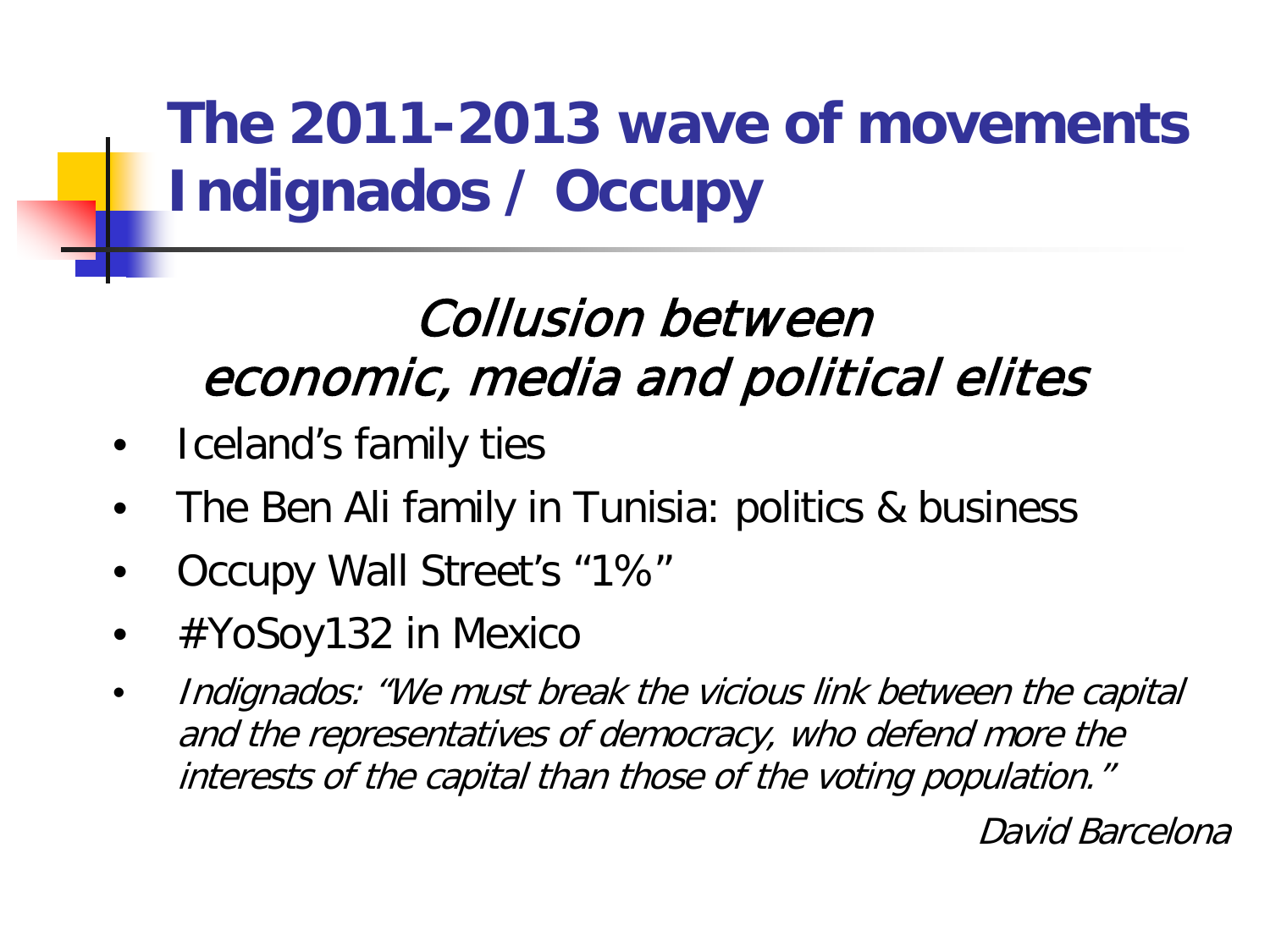### **The 2011-2013 wave of movements Indignados / Occupy**

### Collusion between economic, media and political elites

- Iceland's family ties
- The Ben Ali family in Tunisia: politics & business
- Occupy Wall Street's "1%"
- #YoSoy132 in Mexico
- Indignados: "We must break the vicious link between the capital and the representatives of democracy, who defend more the interests of the capital than those of the voting population."

David Barcelona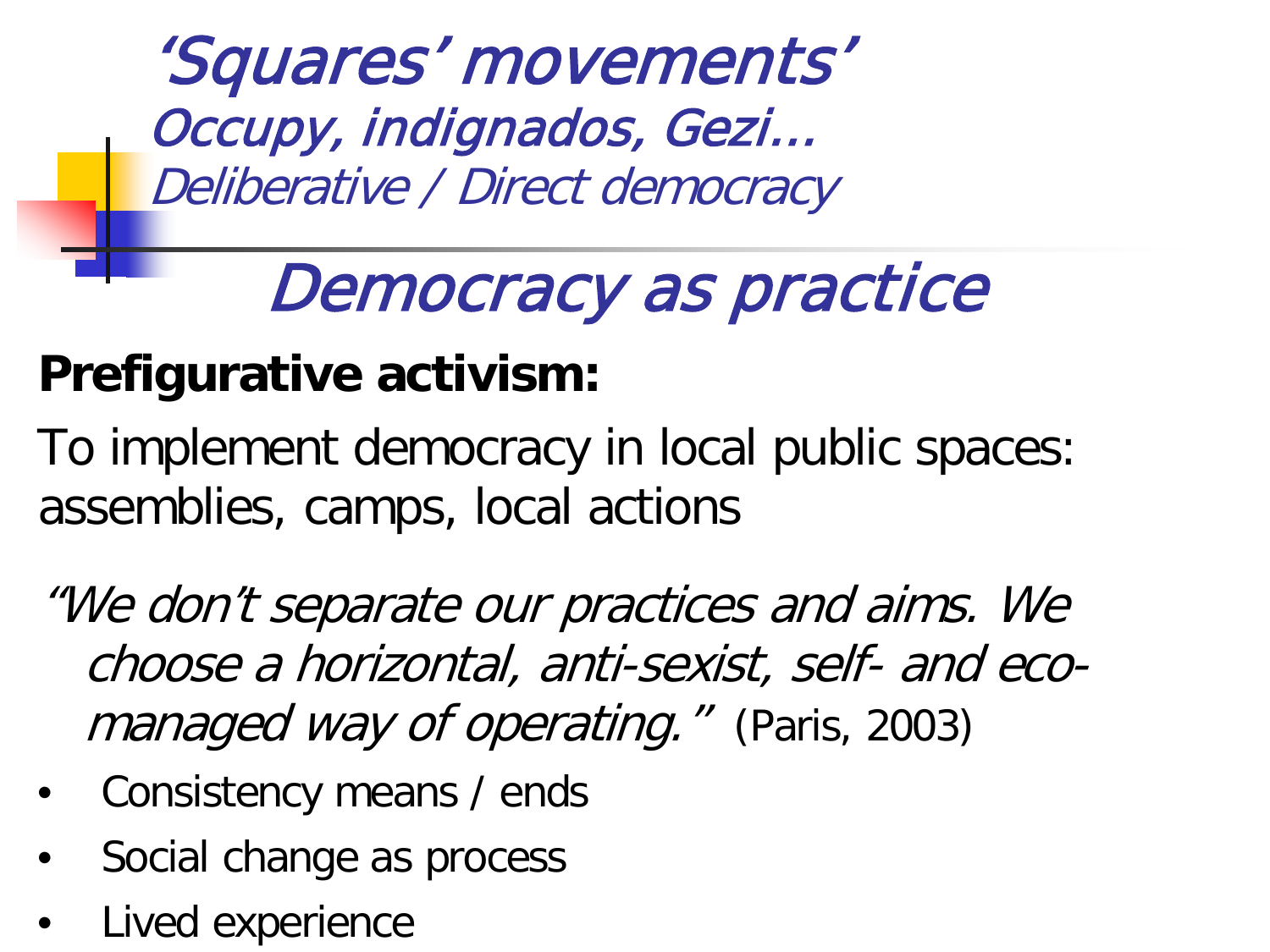'Squares' movements' Occupy, indignados, Gezi… Deliberative / Direct democracy

## Democracy as practice

#### **Prefigurative activism:**

To implement democracy in local public spaces: assemblies, camps, local actions

"We don't separate our practices and aims. We choose a horizontal, anti-sexist, self- and ecomanaged way of operating." (Paris, 2003)

- Consistency means / ends
- Social change as process
- Lived experience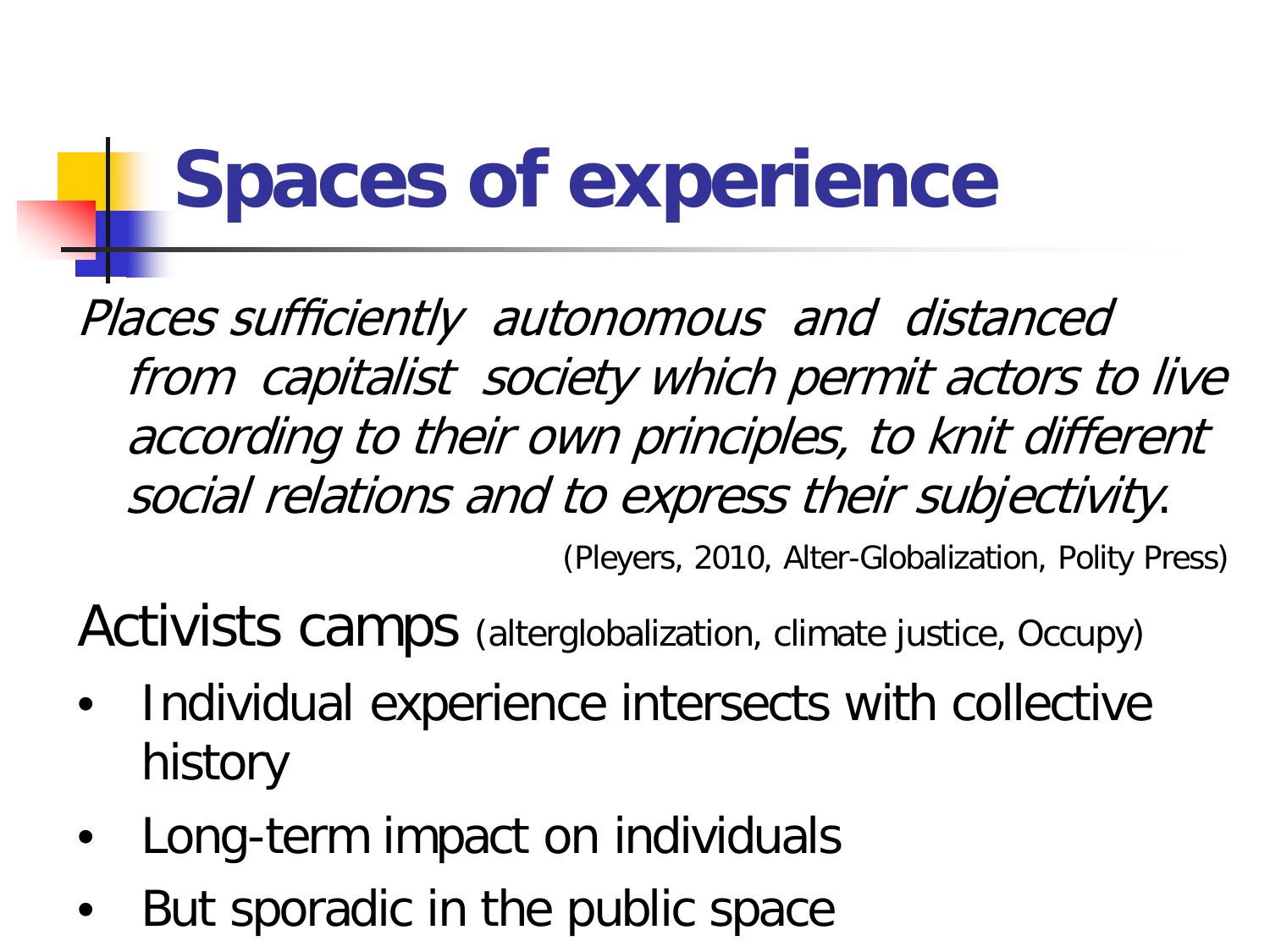# **Spaces of experience**

Places sufficiently autonomous and distanced from capitalist society which permit actors to live according to their own principles, to knit different social relations and to express their subjectivity.

(Pleyers, 2010, Alter-Globalization, Polity Press)

Activists camps (alterglobalization, climate justice, Occupy)

- Individual experience intersects with collective history
- Long-term impact on individuals
- But sporadic in the public space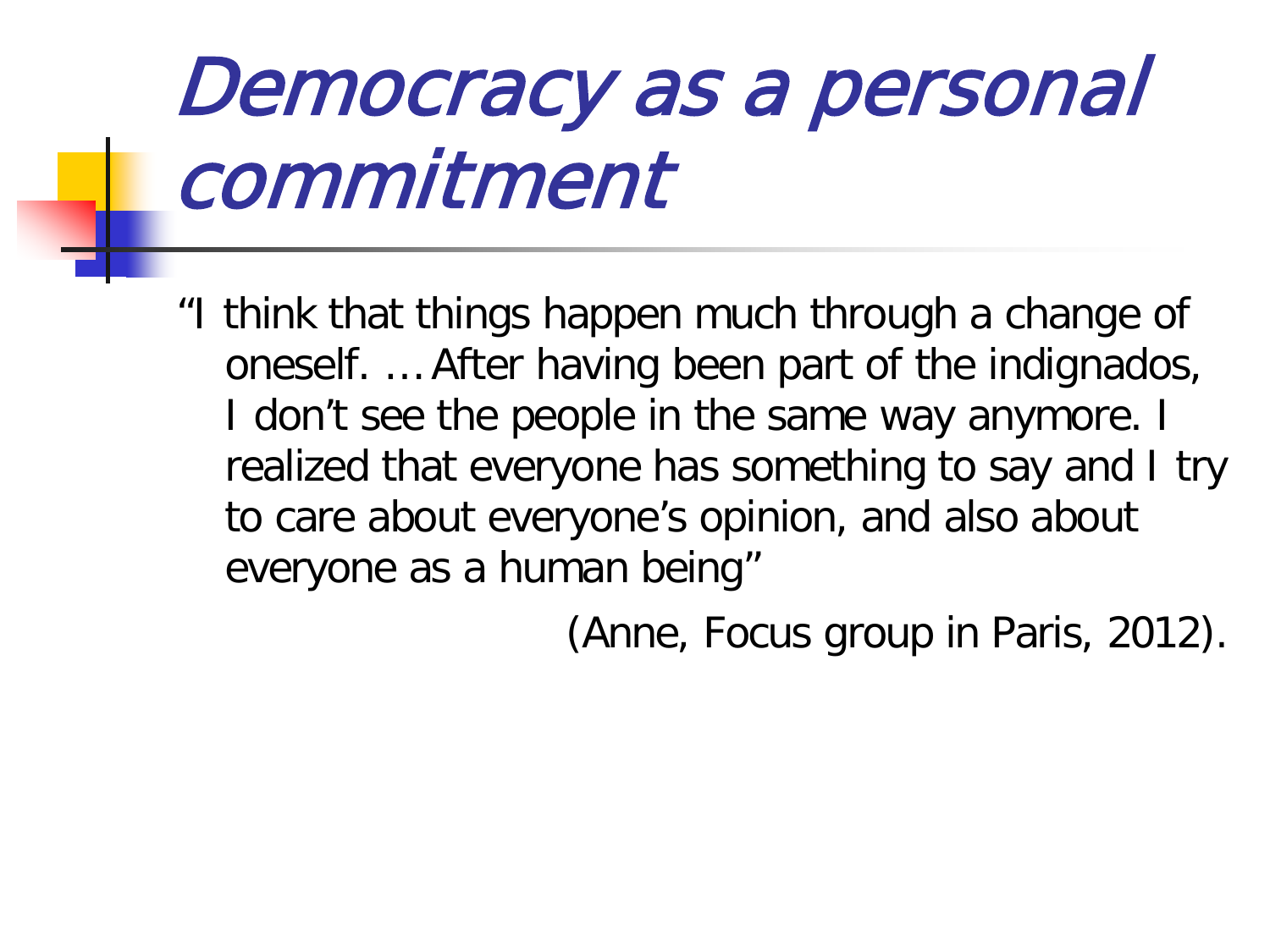# Democracy as a personal commitment

"I think that things happen much through a change of oneself. … After having been part of the indignados, I don't see the people in the same way anymore. I realized that everyone has something to say and I try to care about everyone's opinion, and also about everyone as a human being"

(Anne, Focus group in Paris, 2012).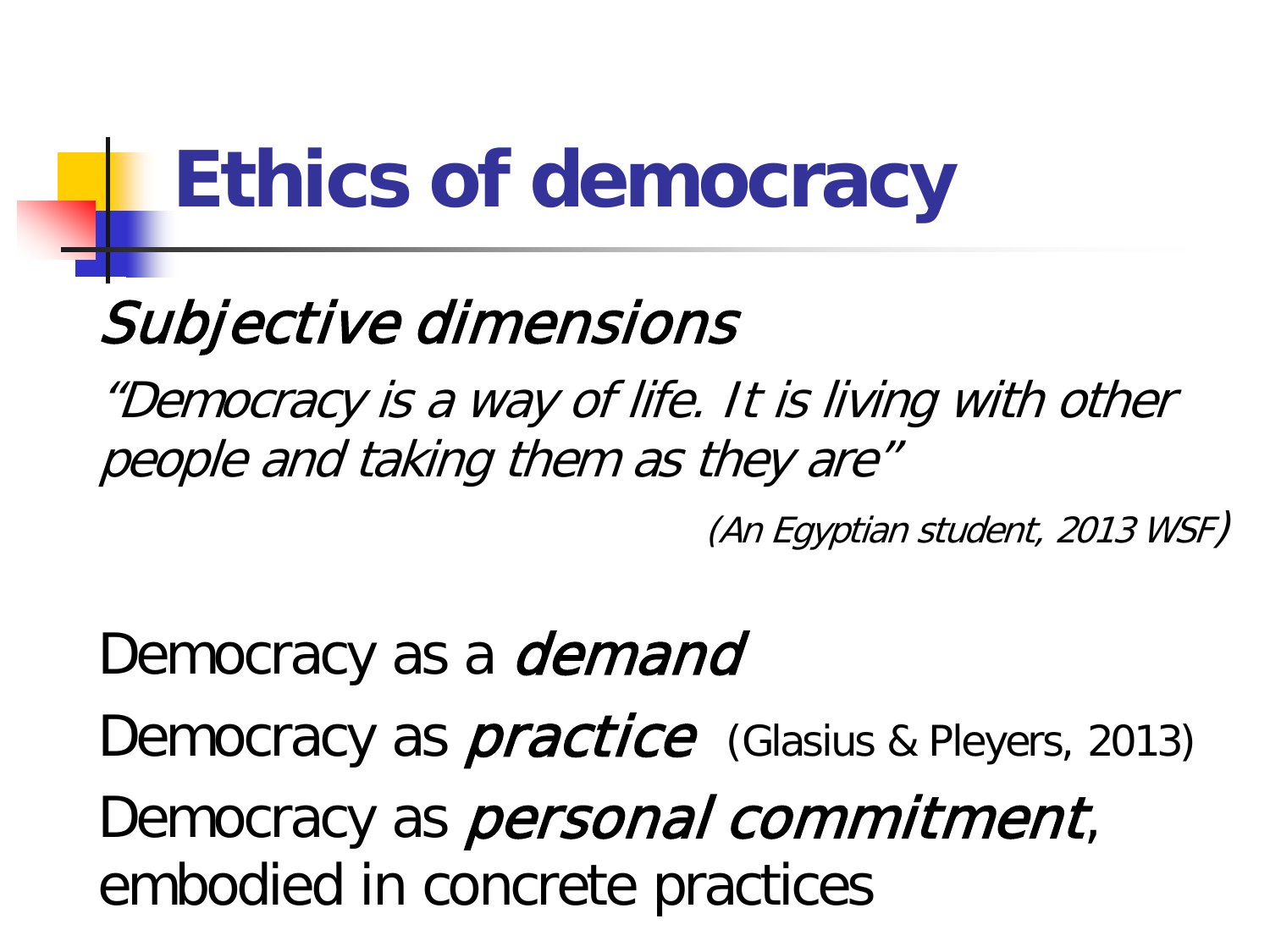## **Ethics of democracy**

### Subjective dimensions

"Democracy is a way of life. It is living with other people and taking them as they are"

(An Egyptian student, 2013 WSF)

Democracy as a *demand* Democracy as *practice* (Glasius & Pleyers, 2013) Democracy as *personal commitment*, embodied in concrete practices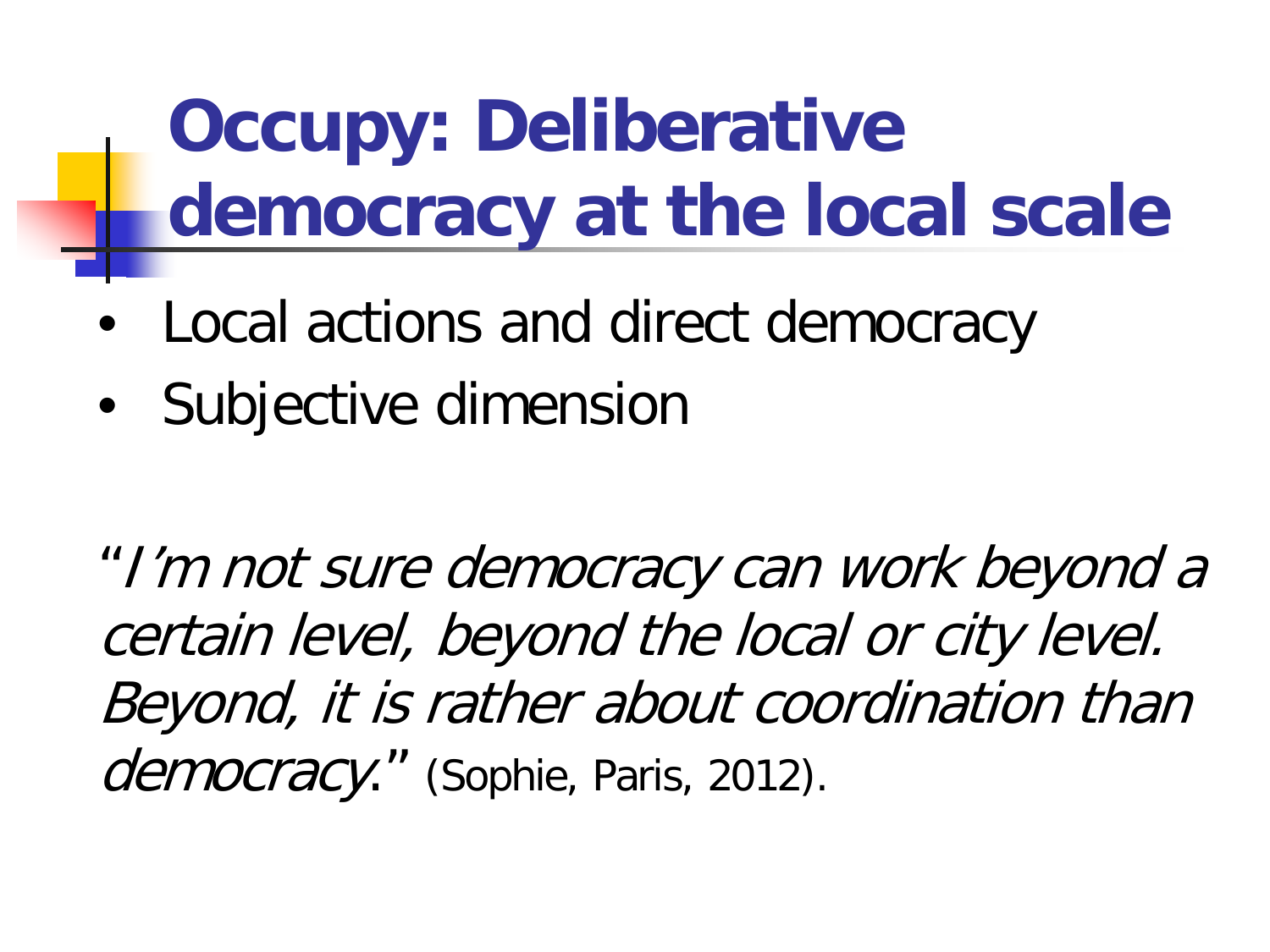**Occupy: Deliberative democracy at the local scale**

- Local actions and direct democracy
- Subjective dimension

"I'm not sure democracy can work beyond a certain level, beyond the local or city level. Beyond, it is rather about coordination than democracy." (Sophie, Paris, 2012).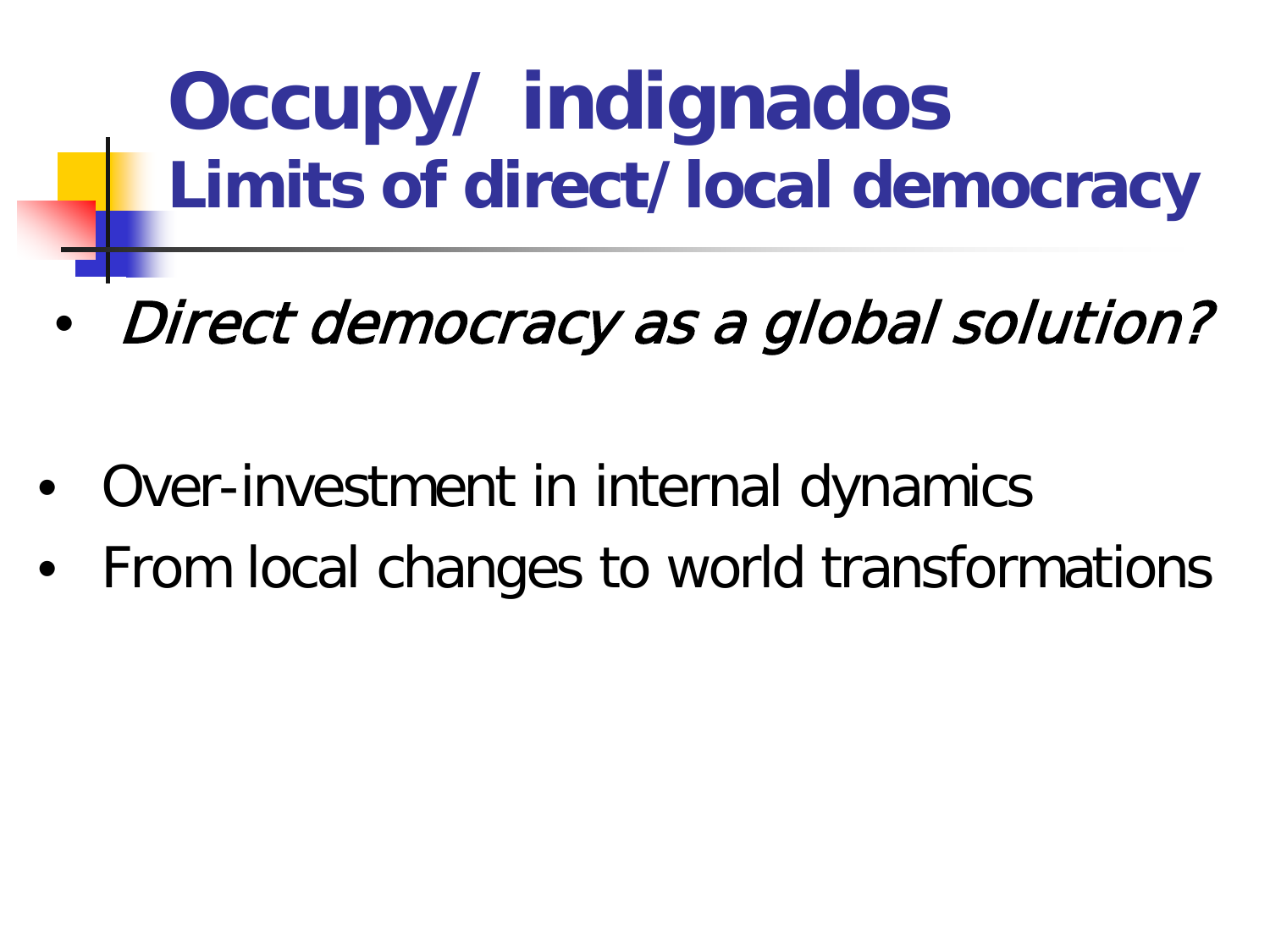**Occupy/ indignados Limits of direct/local democracy**

- Direct democracy as a global solution?
- Over-investment in internal dynamics
- From local changes to world transformations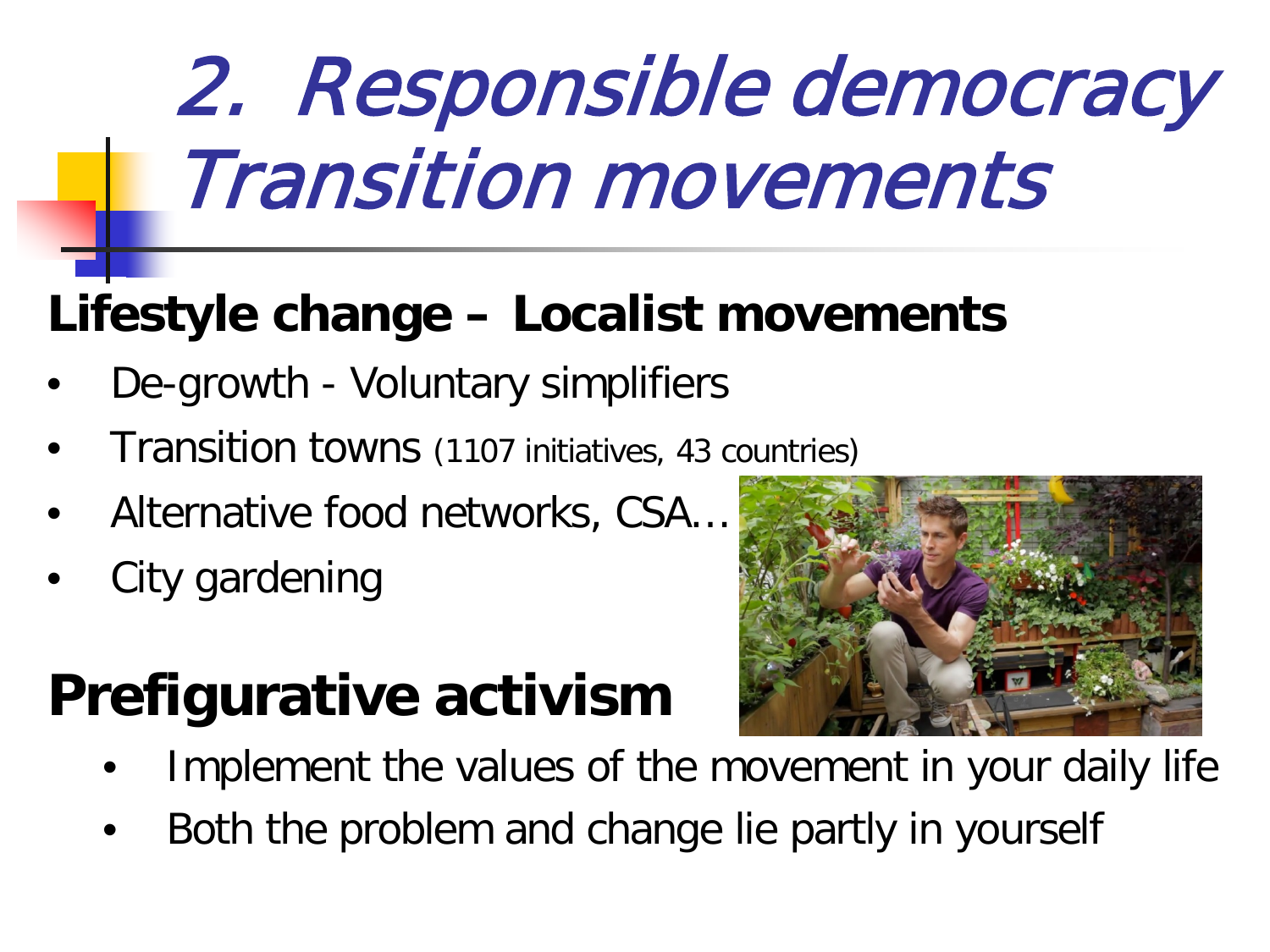# 2. Responsible democracy Transition movements

### **Lifestyle change – Localist movements**

- De-growth Voluntary simplifiers
- Transition towns (1107 initiatives, 43 countries)
- Alternative food networks, CSA…
- City gardening

### **Prefigurative activism**



- Implement the values of the movement in your daily life
- Both the problem and change lie partly in yourself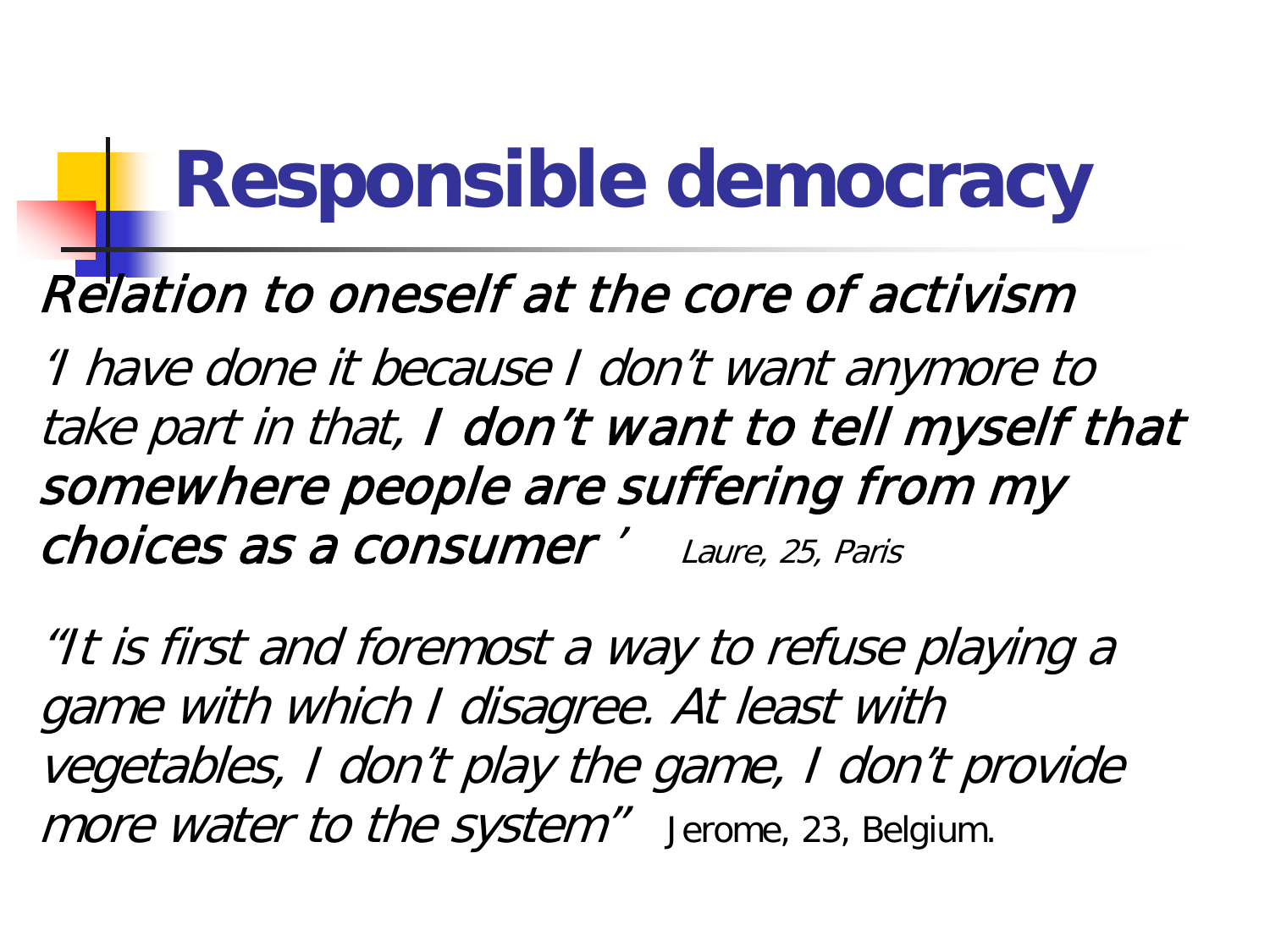## **Responsible democracy**

#### Relation to oneself at the core of activism

'I have done it because I don't want anymore to take part in that, I don't want to tell myself that somewhere people are suffering from my choices as a consumer ' Laure, 25, Paris

"It is first and foremost a way to refuse playing a game with which I disagree. At least with vegetables, I don't play the game, I don't provide more water to the system" Jerome, 23, Belgium.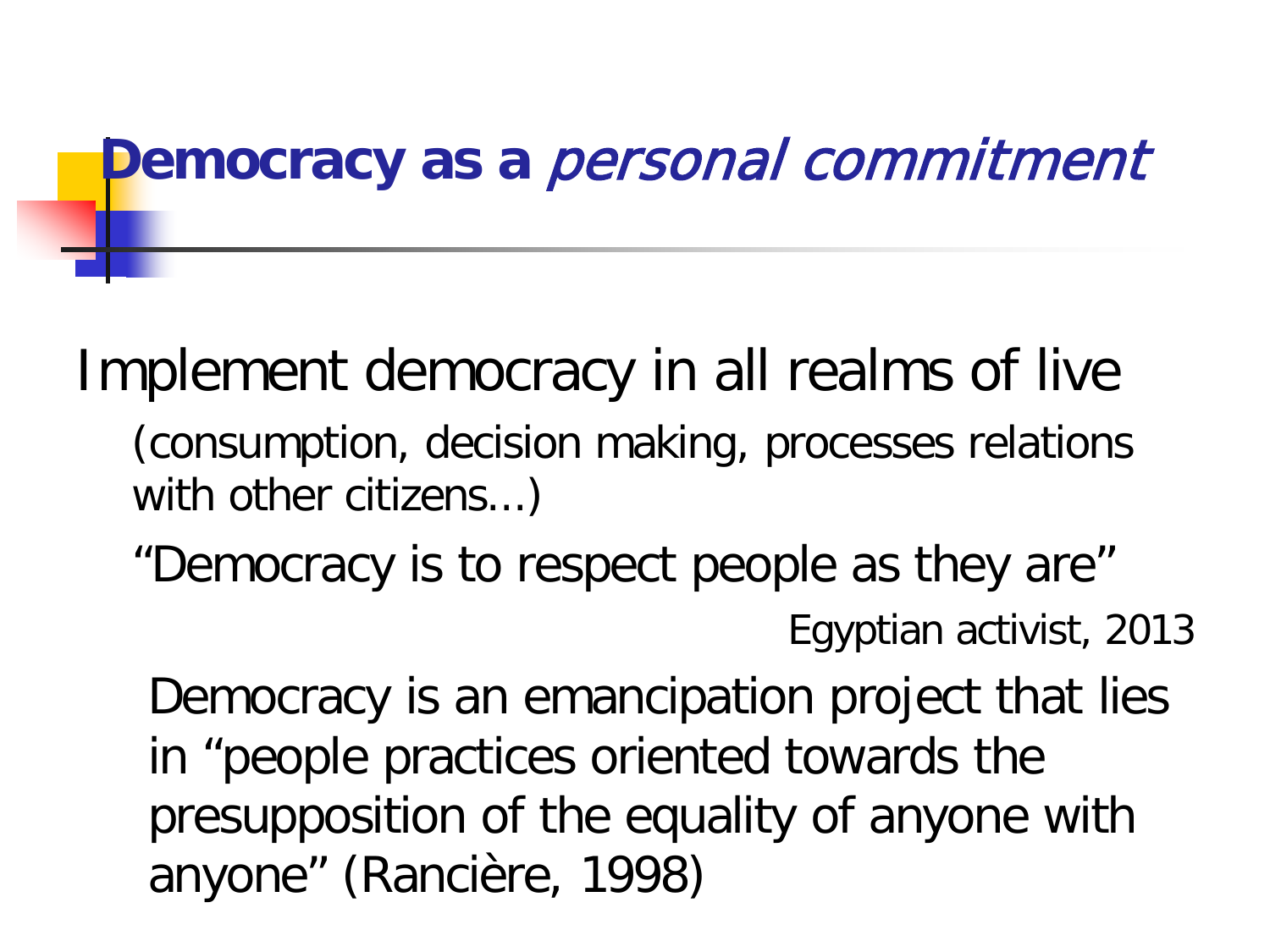#### **Democracy as a** personal commitment

Implement democracy in all realms of live

- (consumption, decision making, processes relations with other citizens...)
- "Democracy is to respect people as they are" Egyptian activist, 2013

Democracy is an emancipation project that lies in "people practices oriented towards the presupposition of the equality of anyone with anyone" (Rancière, 1998)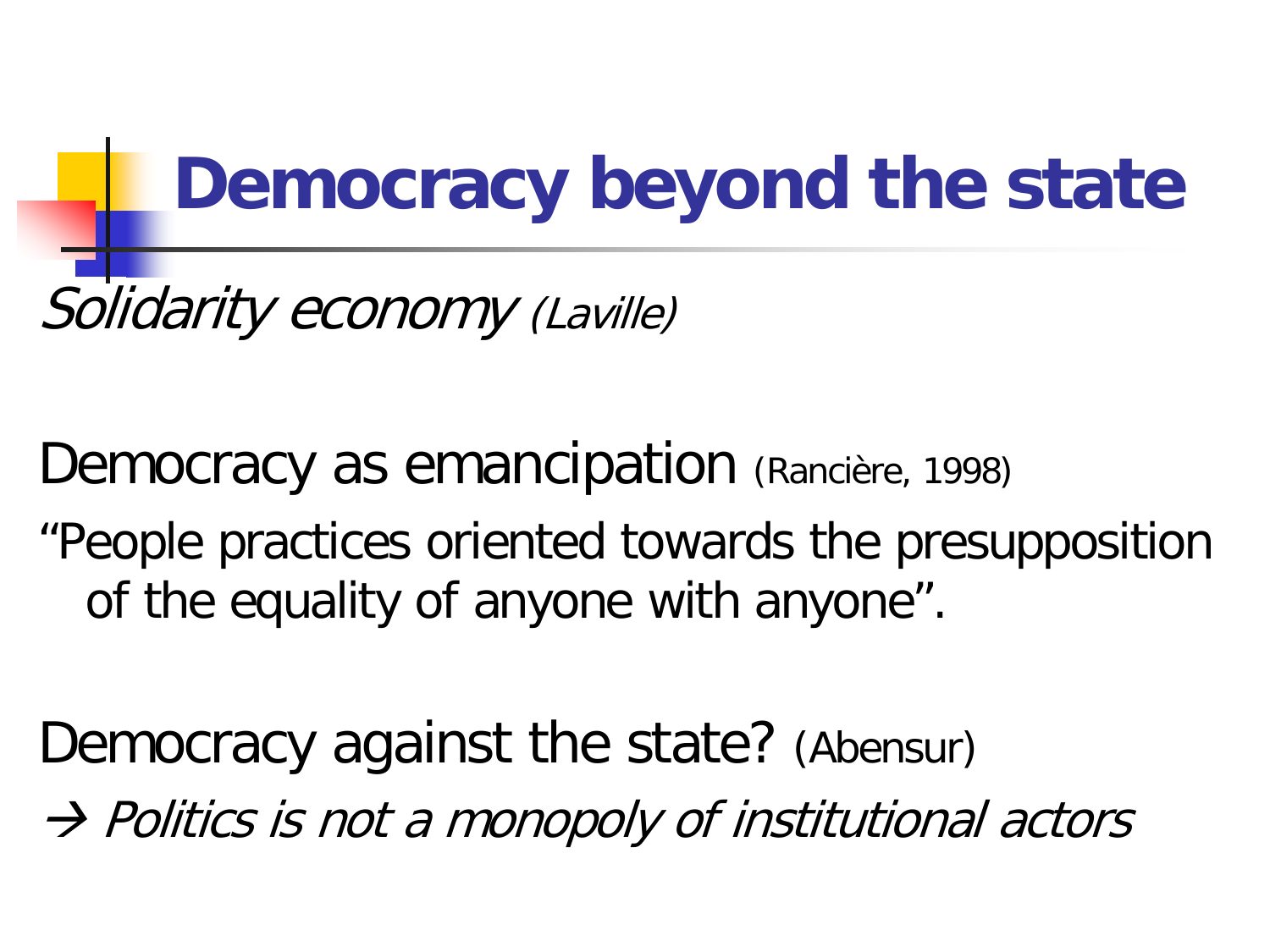## **Democracy beyond the state**

Solidarity economy (Laville)

Democracy as emancipation (Rancière, 1998) "People practices oriented towards the presupposition of the equality of anyone with anyone".

Democracy against the state? (Abensur)  $\rightarrow$  Politics is not a monopoly of institutional actors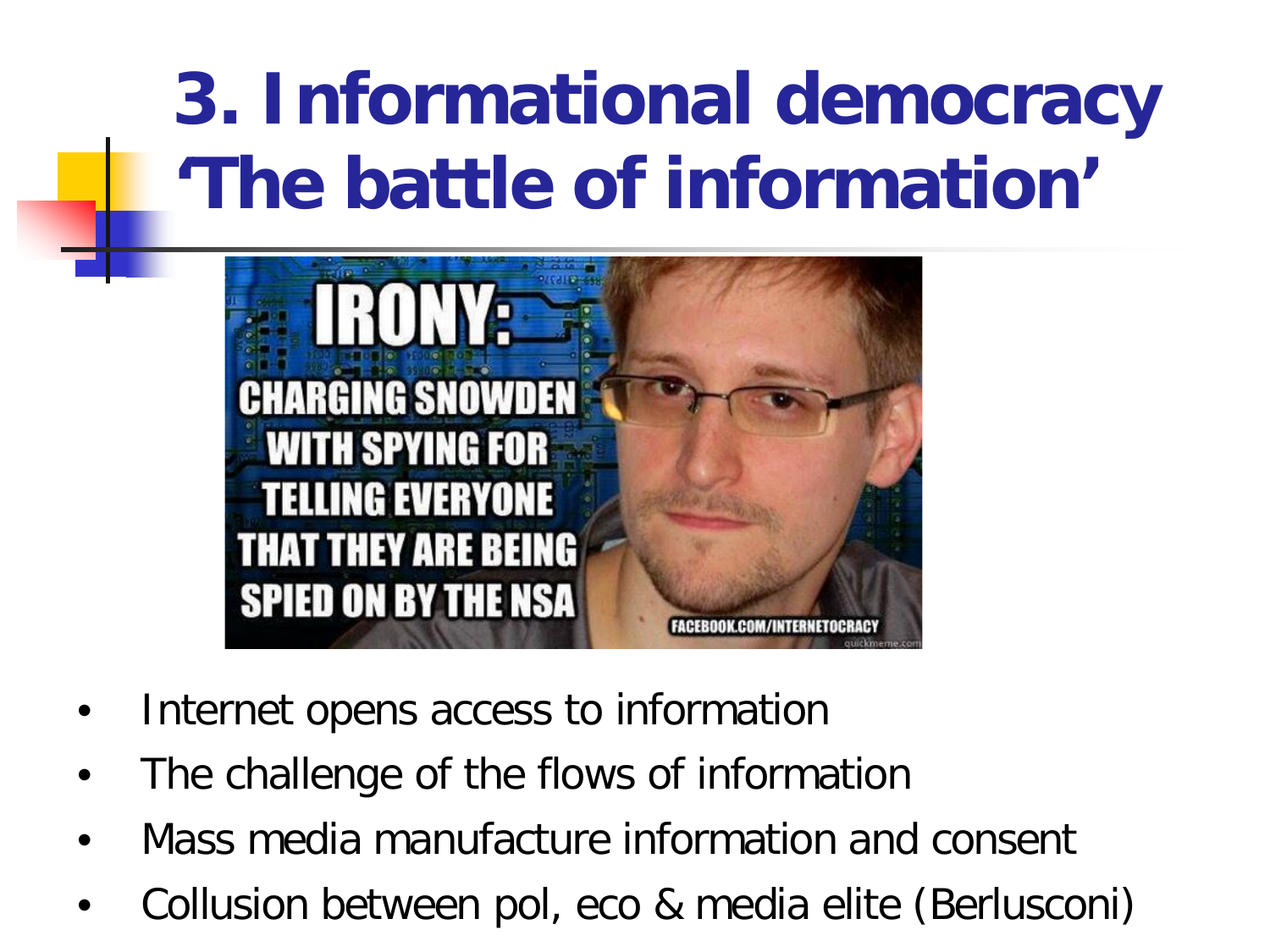## **3. Informational democracy 'The battle of information'**



- Internet opens access to information
- The challenge of the flows of information
- Mass media manufacture information and consent
- Collusion between pol, eco & media elite (Berlusconi)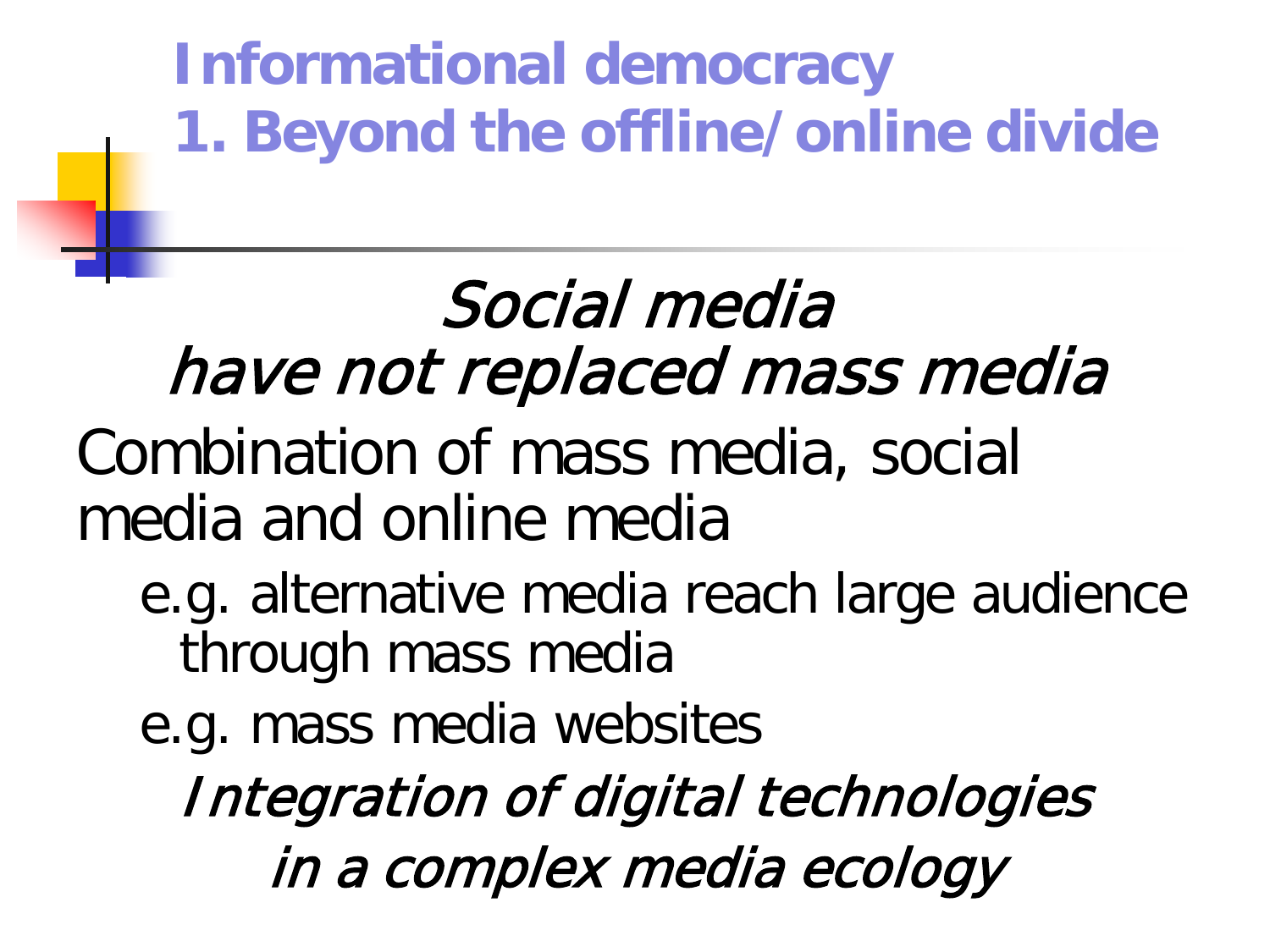**Informational democracy 1. Beyond the offline/online divide** 

## Social media have not replaced mass media

Combination of mass media, social media and online media

- e.g. alternative media reach large audience through mass media
- e.g. mass media websites

Integration of digital technologies in a complex media ecology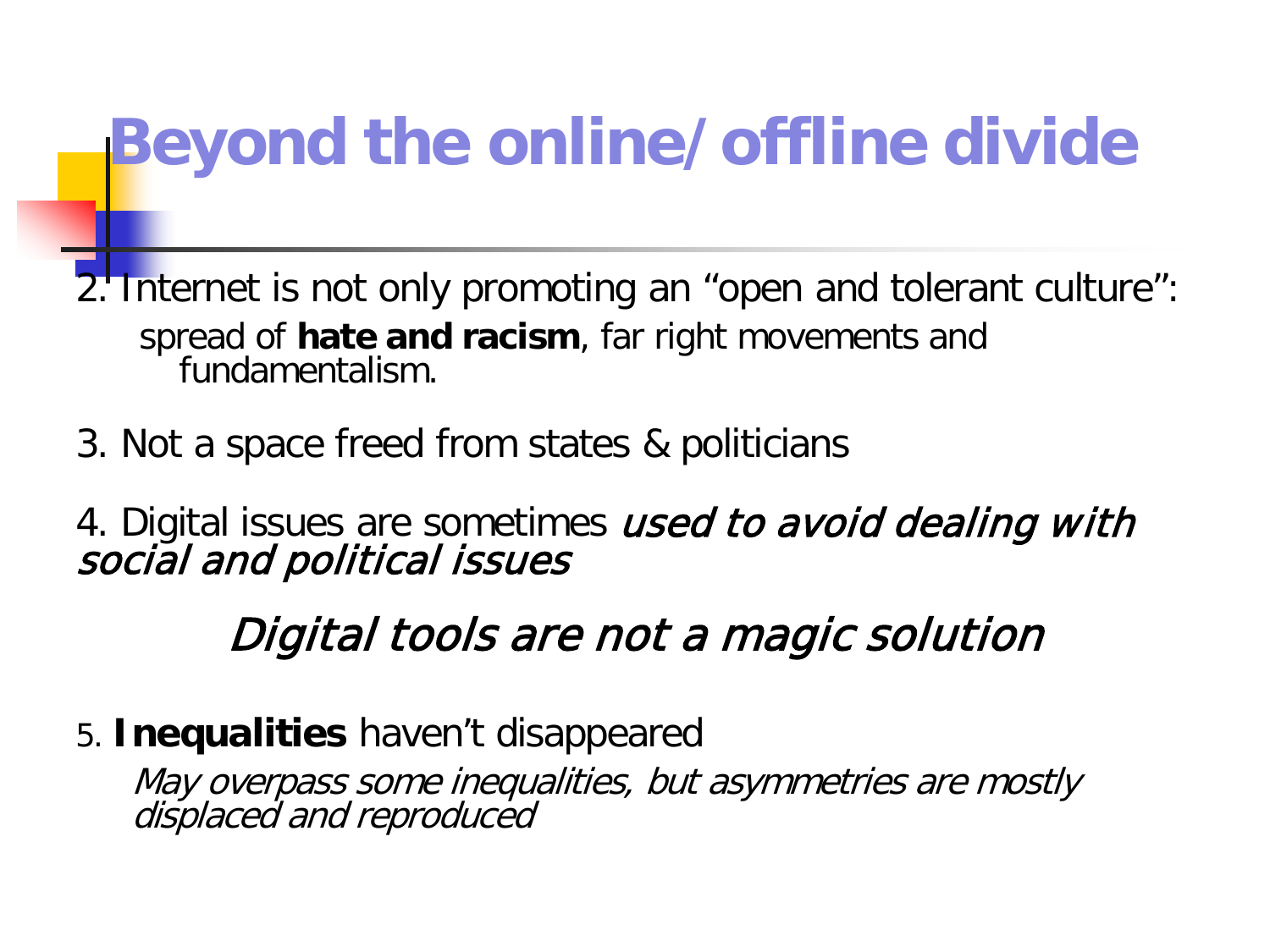## **Beyond the online/offline divide**

2. Internet is not only promoting an "open and tolerant culture": spread of **hate and racism**, far right movements and fundamentalism.

3. Not a space freed from states & politicians

4. Digital issues are sometimes *used to avoid dealing with*<br>social and political issues

#### Digital tools are not a magic solution

5. **Inequalities** haven't disappeared

May overpass some inequalities, but asymmetries are mostly displaced and reproduced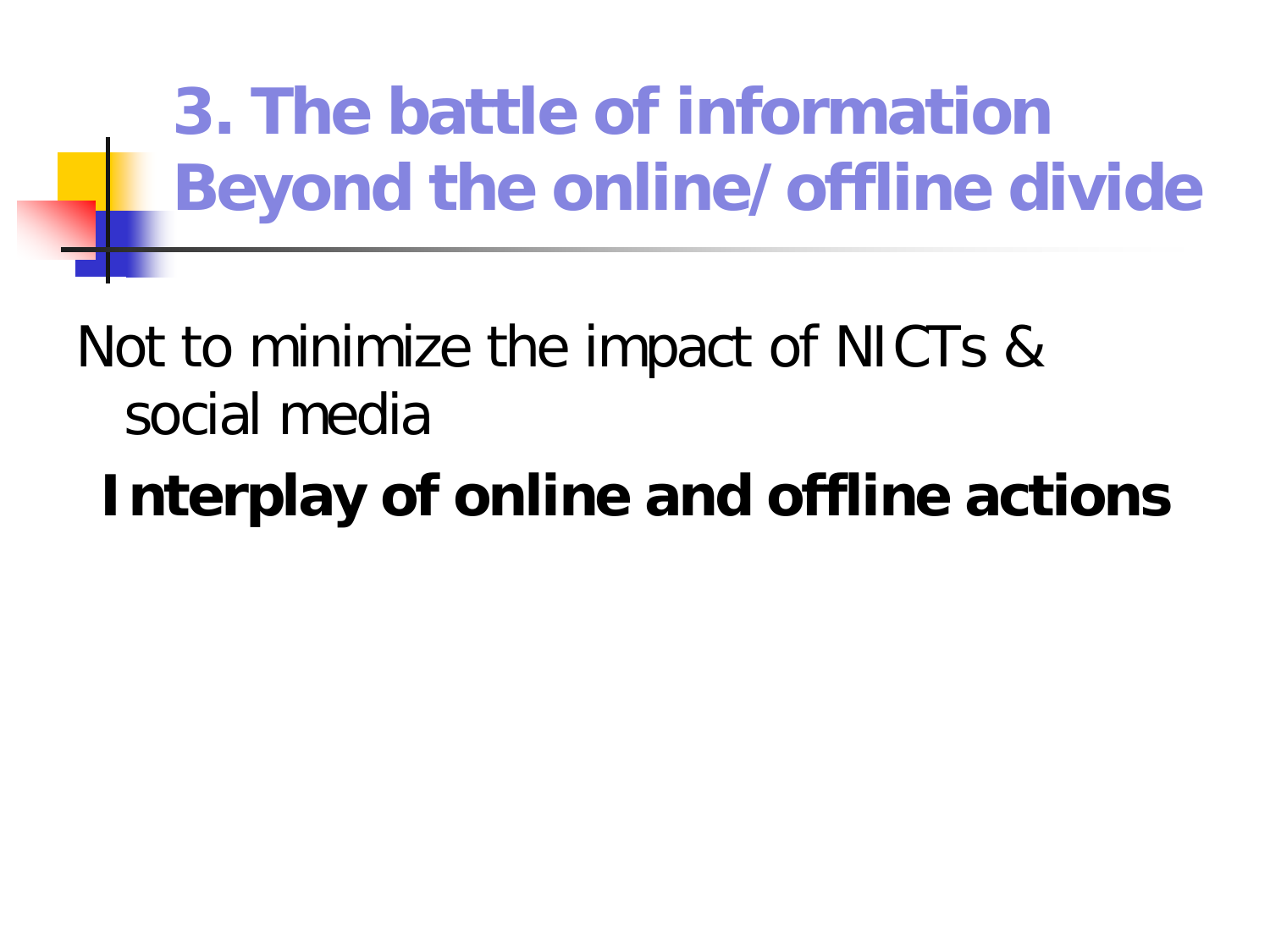**3. The battle of information Beyond the online/offline divide**

### Not to minimize the impact of NICTs & social media

## **Interplay of online and offline actions**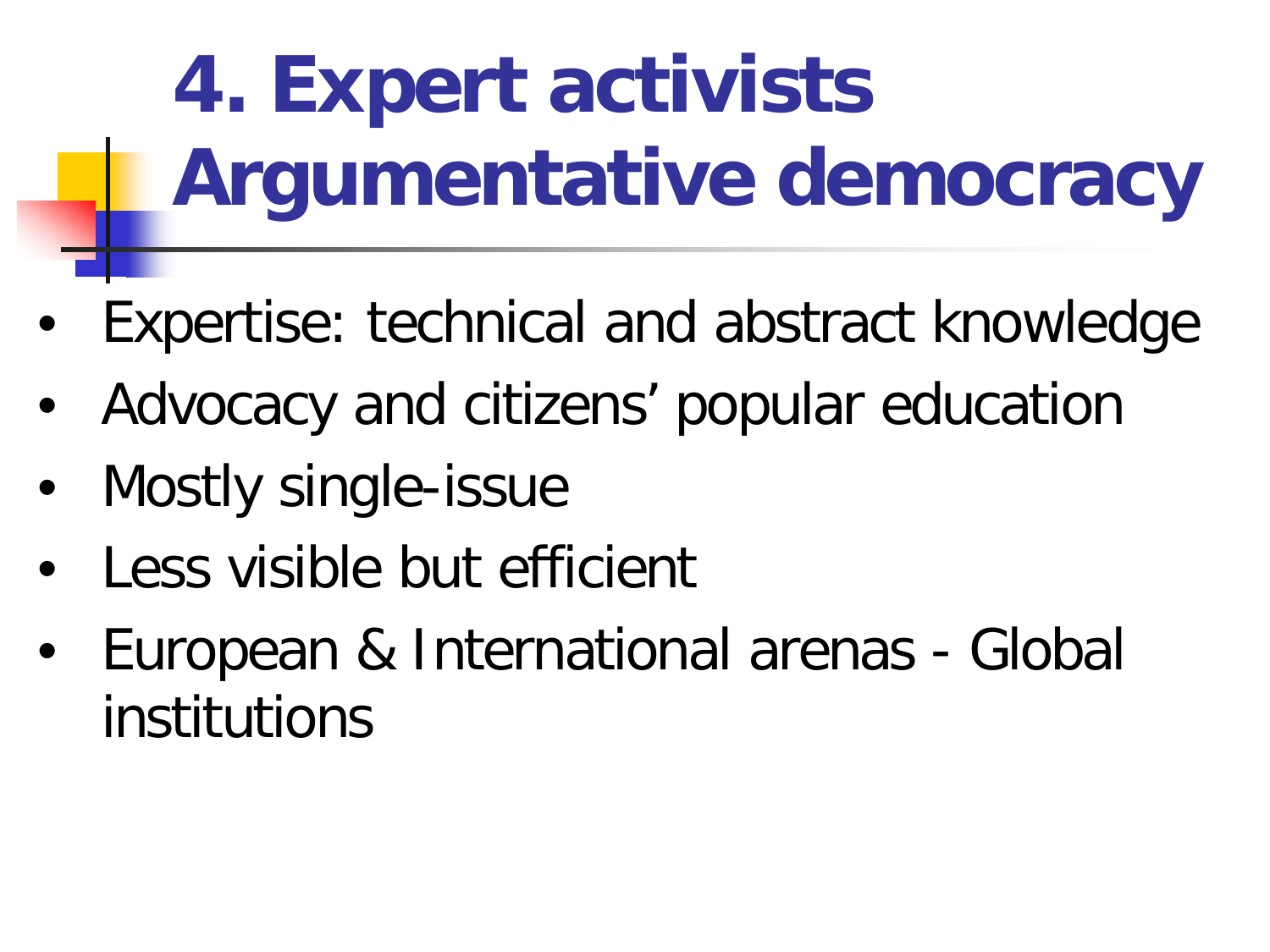**4. Expert activists Argumentative democracy**

- Expertise: technical and abstract knowledge
- Advocacy and citizens' popular education
- Mostly single-issue
- Less visible but efficient
- European & International arenas Global institutions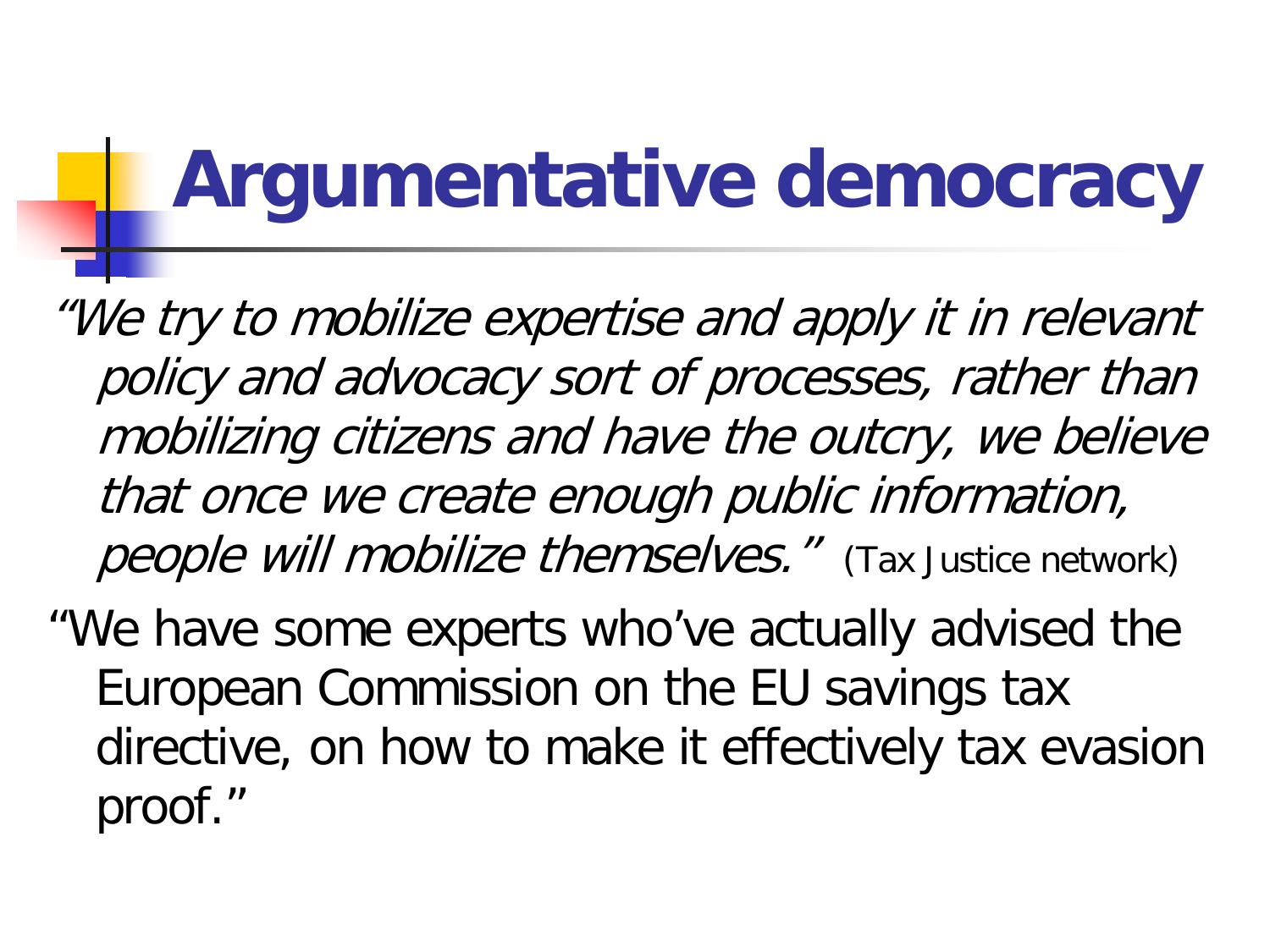## **Argumentative democracy**

"We try to mobilize expertise and apply it in relevant policy and advocacy sort of processes, rather than mobilizing citizens and have the outcry, we believe that once we create enough public information, people will mobilize themselves." (Tax Justice network)

"We have some experts who've actually advised the European Commission on the EU savings tax directive, on how to make it effectively tax evasion proof."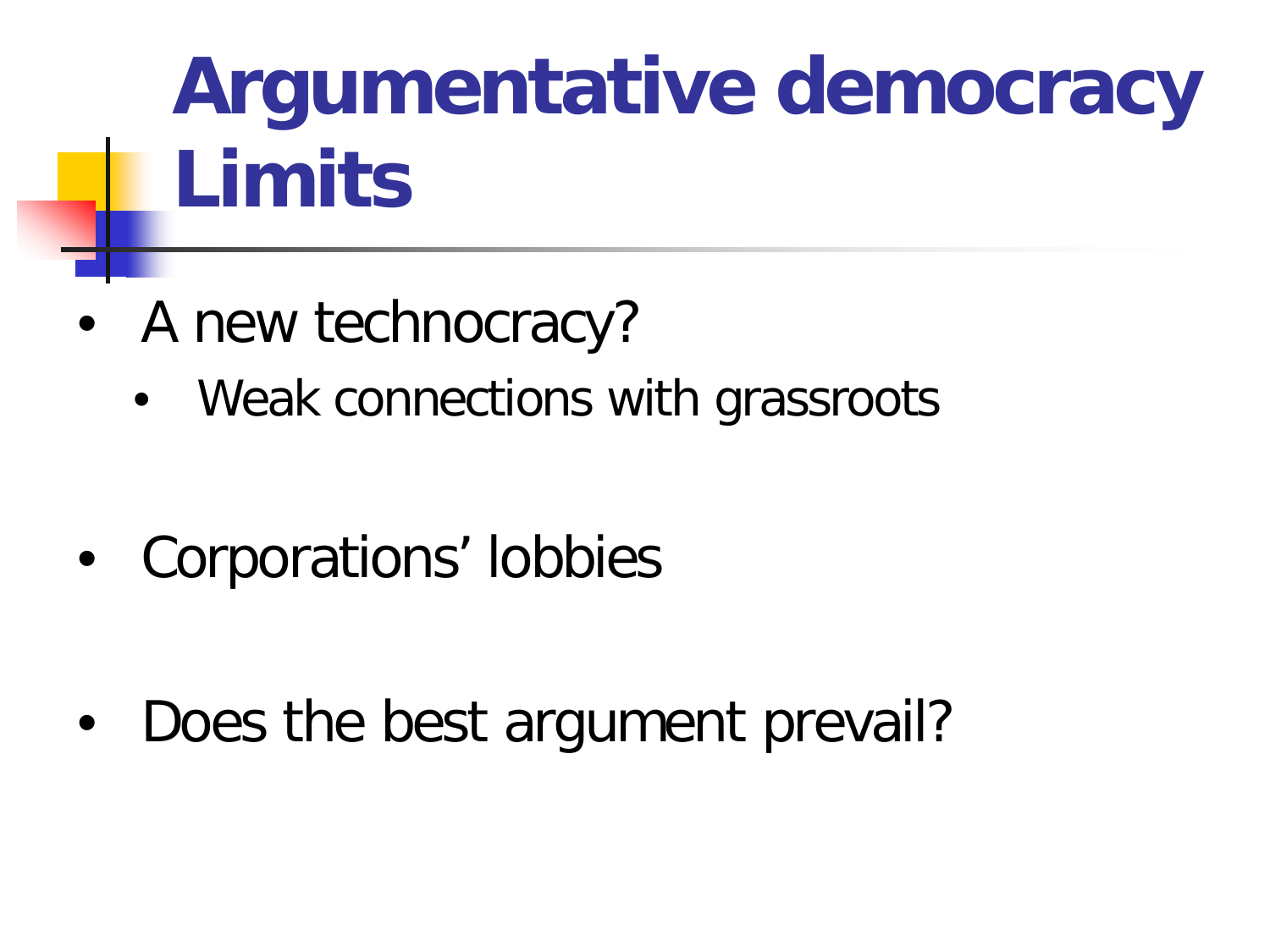# **Argumentative democracy Limits**

- A new technocracy?
	- Weak connections with grassroots
- Corporations' lobbies

Does the best argument prevail?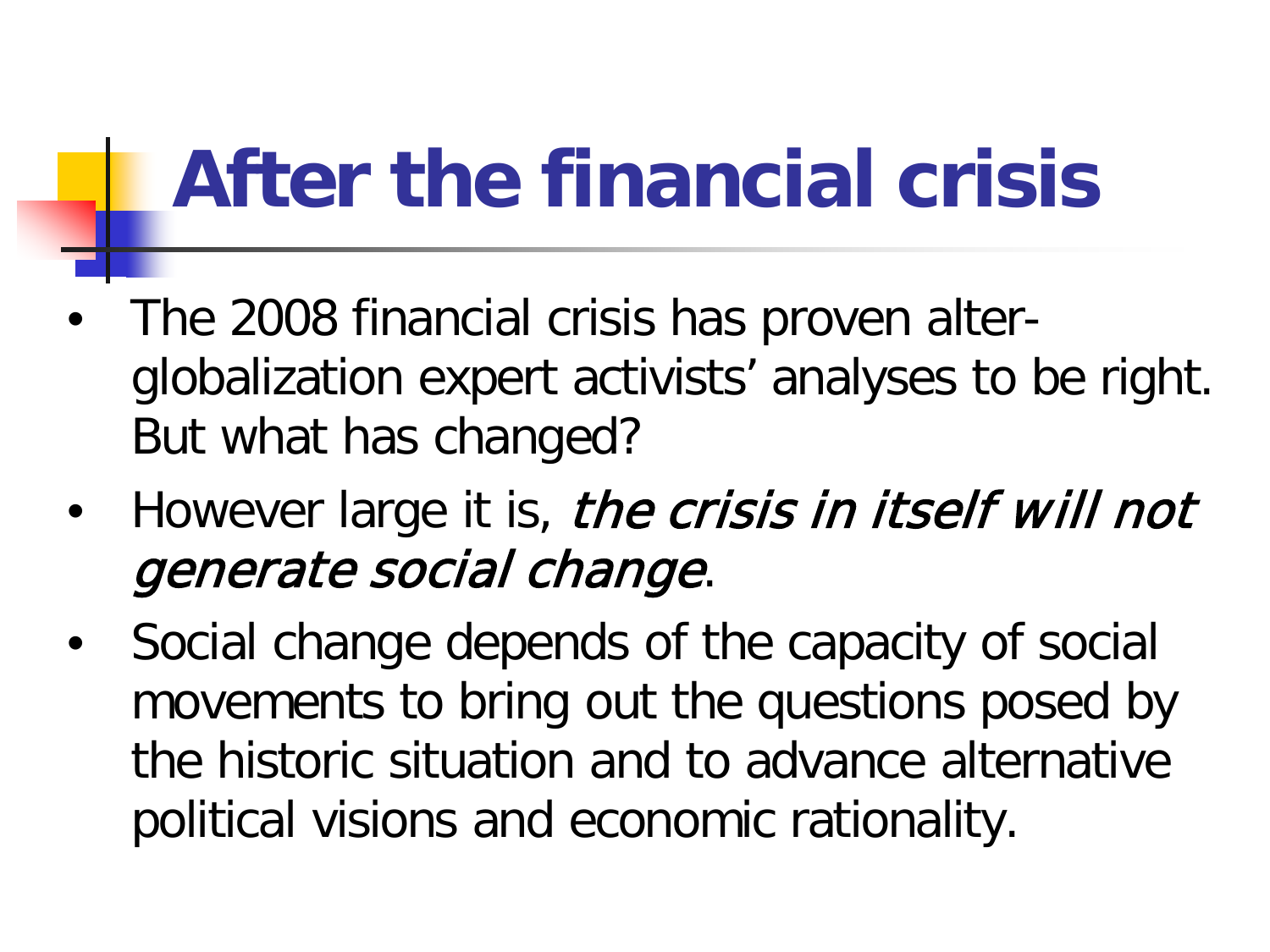## **After the financial crisis**

- The 2008 financial crisis has proven alterglobalization expert activists' analyses to be right. But what has changed?
- However large it is, the crisis in itself will not generate social change.
- Social change depends of the capacity of social movements to bring out the questions posed by the historic situation and to advance alternative political visions and economic rationality.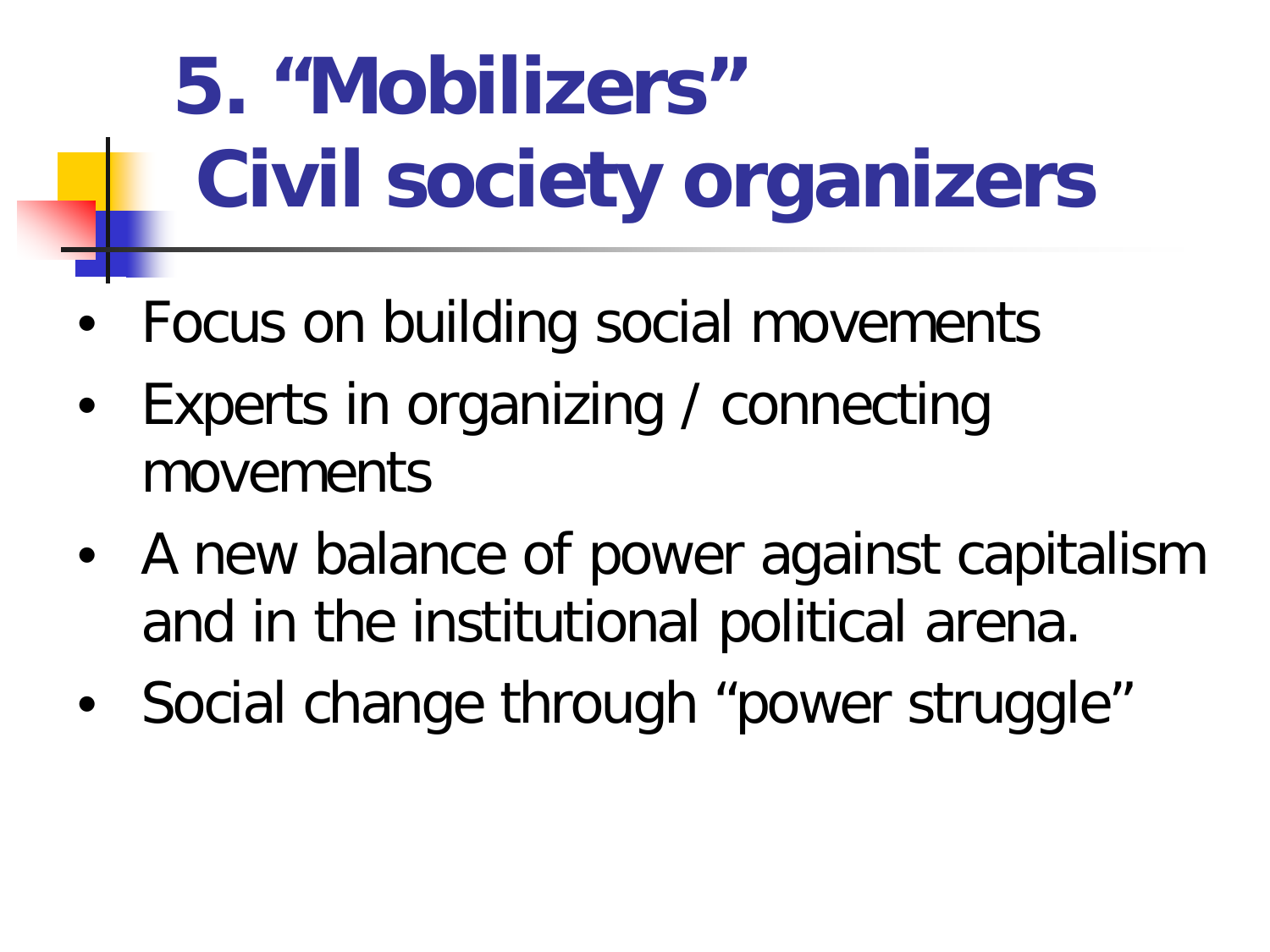# **5. "Mobilizers" Civil society organizers**

- Focus on building social movements
- Experts in organizing / connecting movements
- A new balance of power against capitalism and in the institutional political arena.
- Social change through "power struggle"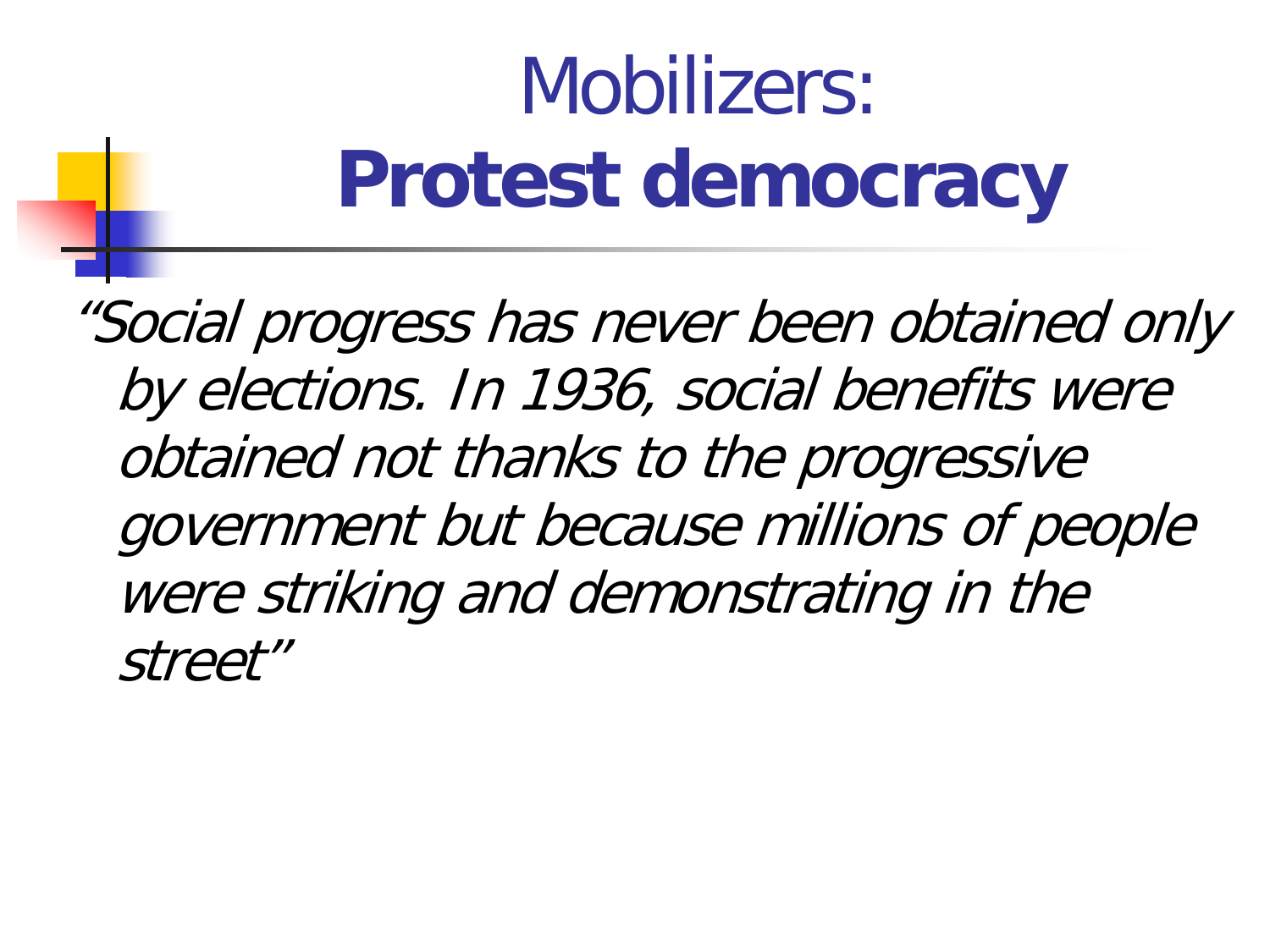# Mobilizers: **Protest democracy**

"Social progress has never been obtained only by elections. In 1936, social benefits were obtained not thanks to the progressive government but because millions of people were striking and demonstrating in the street"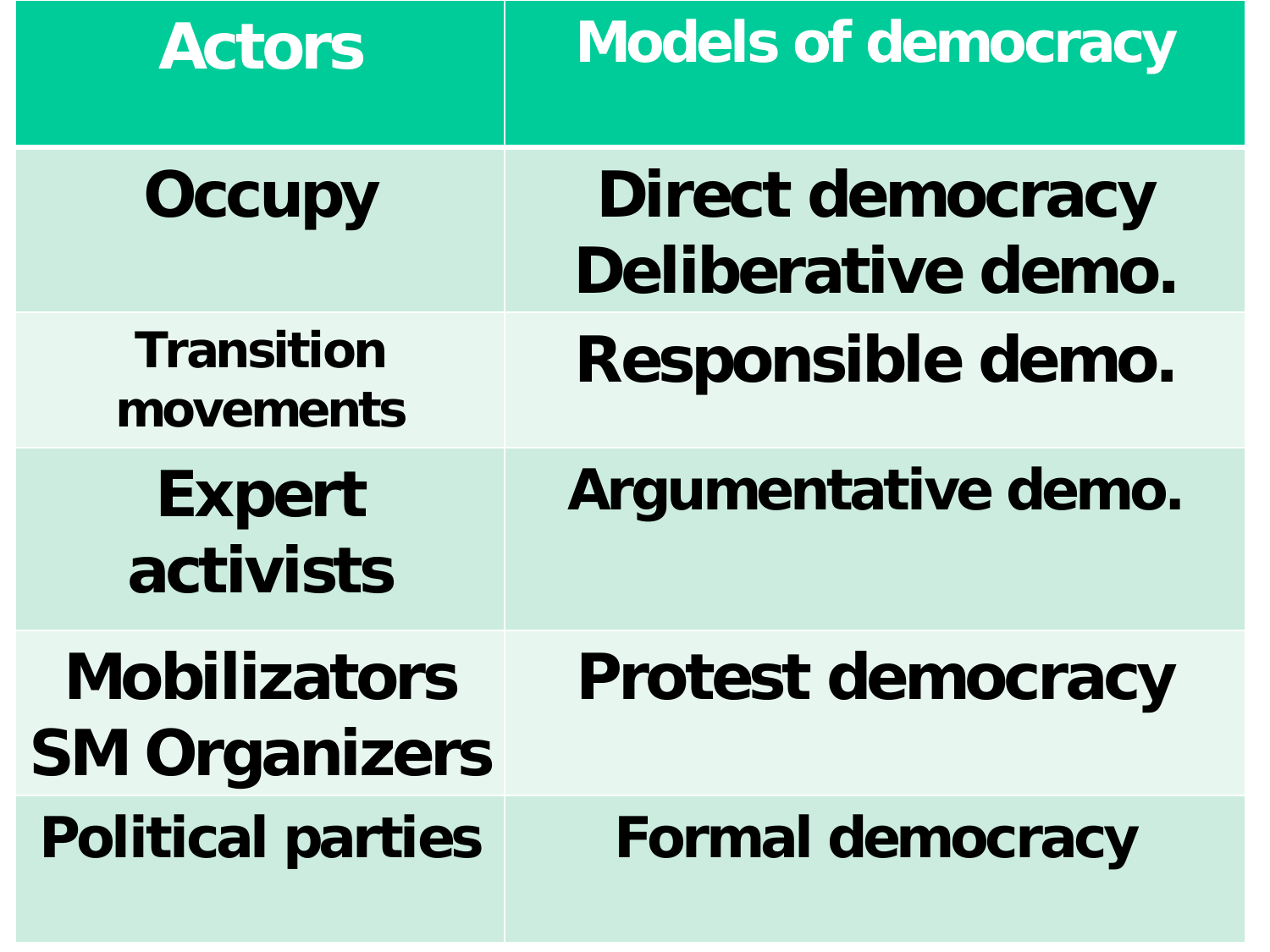| <b>Actors</b>                               | <b>Models of democracy</b>                    |
|---------------------------------------------|-----------------------------------------------|
| <b>Occupy</b>                               | <b>Direct democracy</b><br>Deliberative demo. |
| <b>Transition</b><br>movements              | Responsible demo.                             |
| <b>Expert</b><br>activists                  | Argumentative demo.                           |
| <b>Mobilizators</b><br><b>SM Organizers</b> | <b>Protest democracy</b>                      |
| <b>Political parties</b>                    | <b>Formal democracy</b>                       |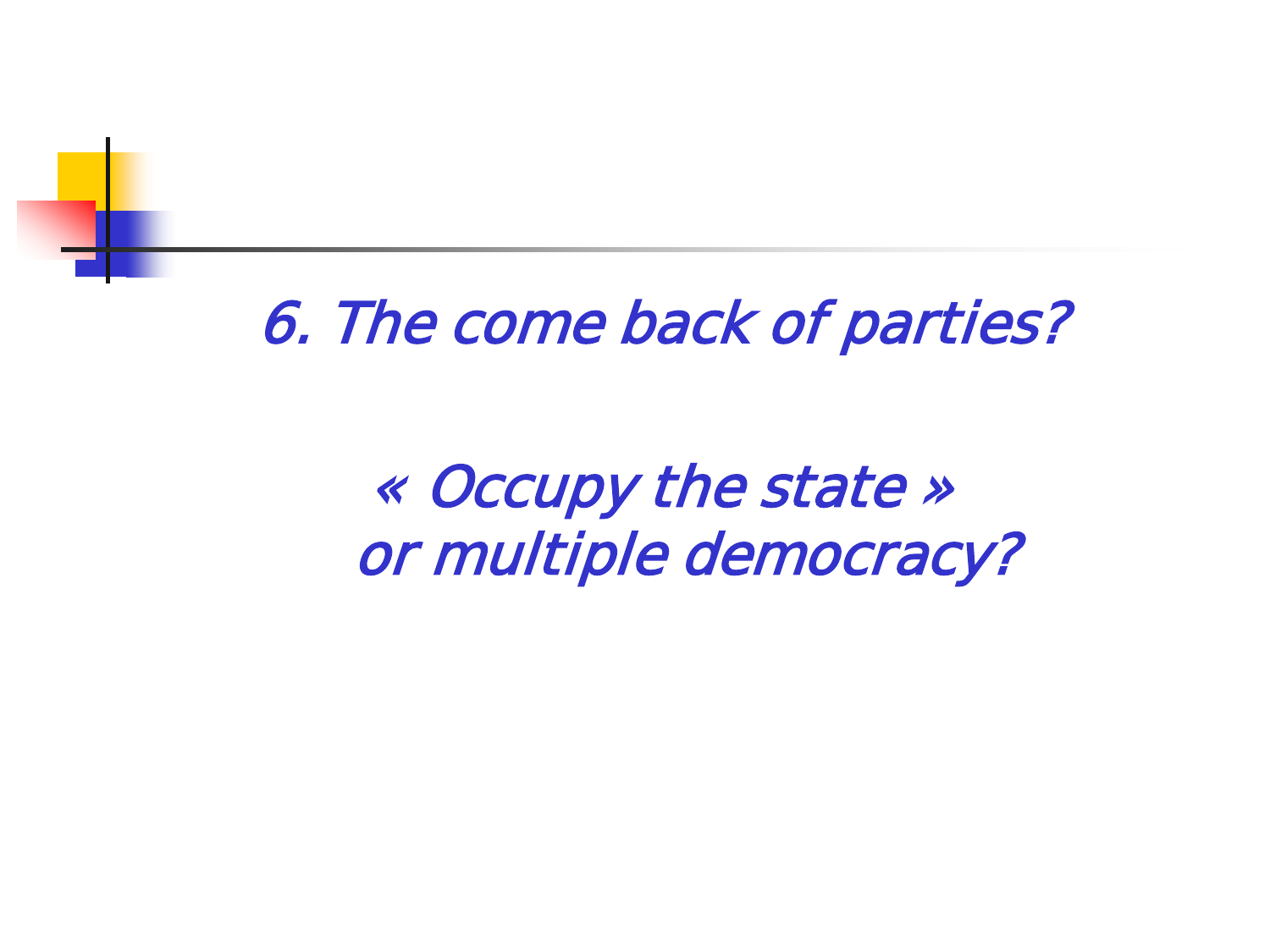### 6. The come back of parties?

### « Occupy the state » or multiple democracy?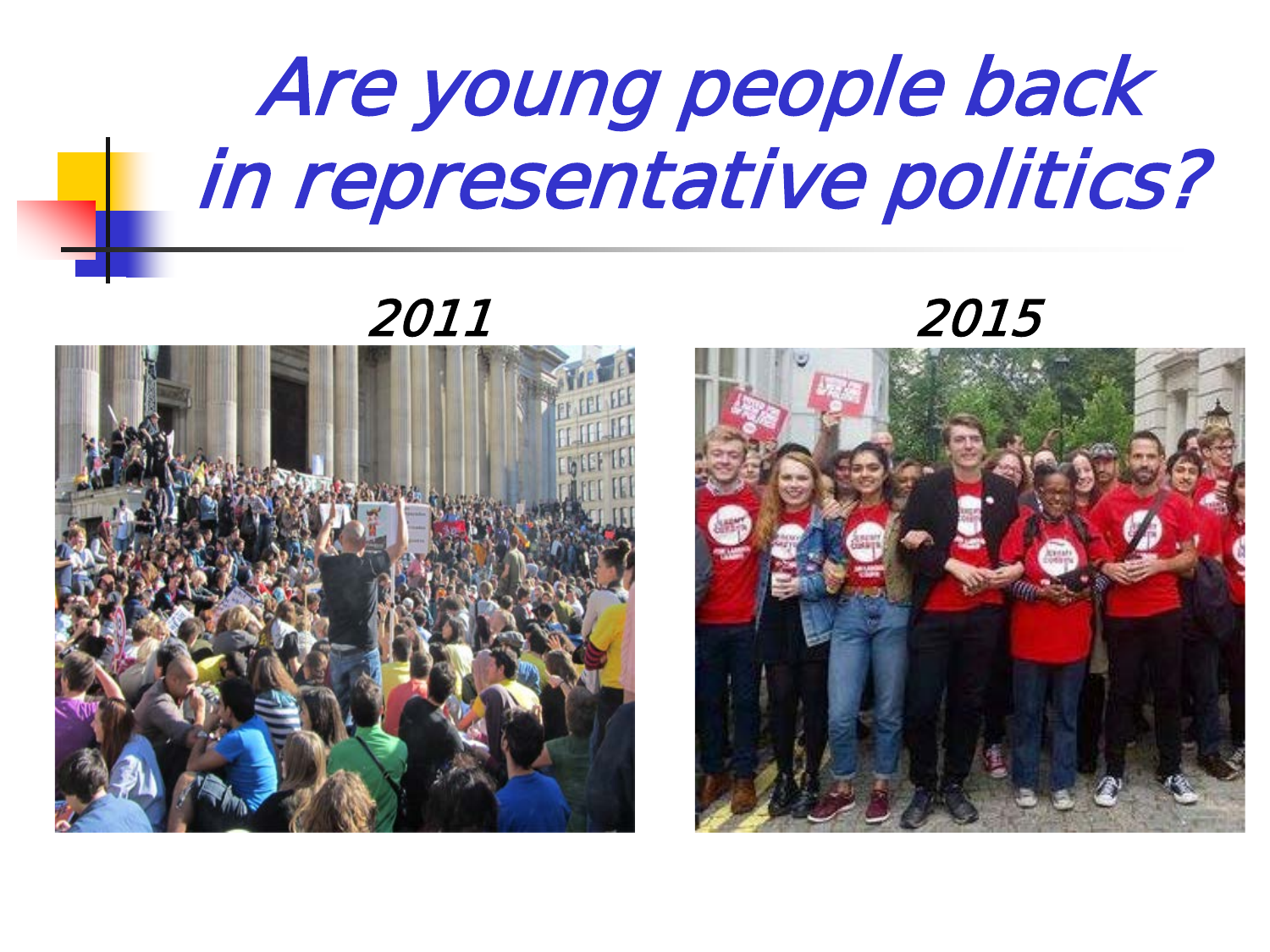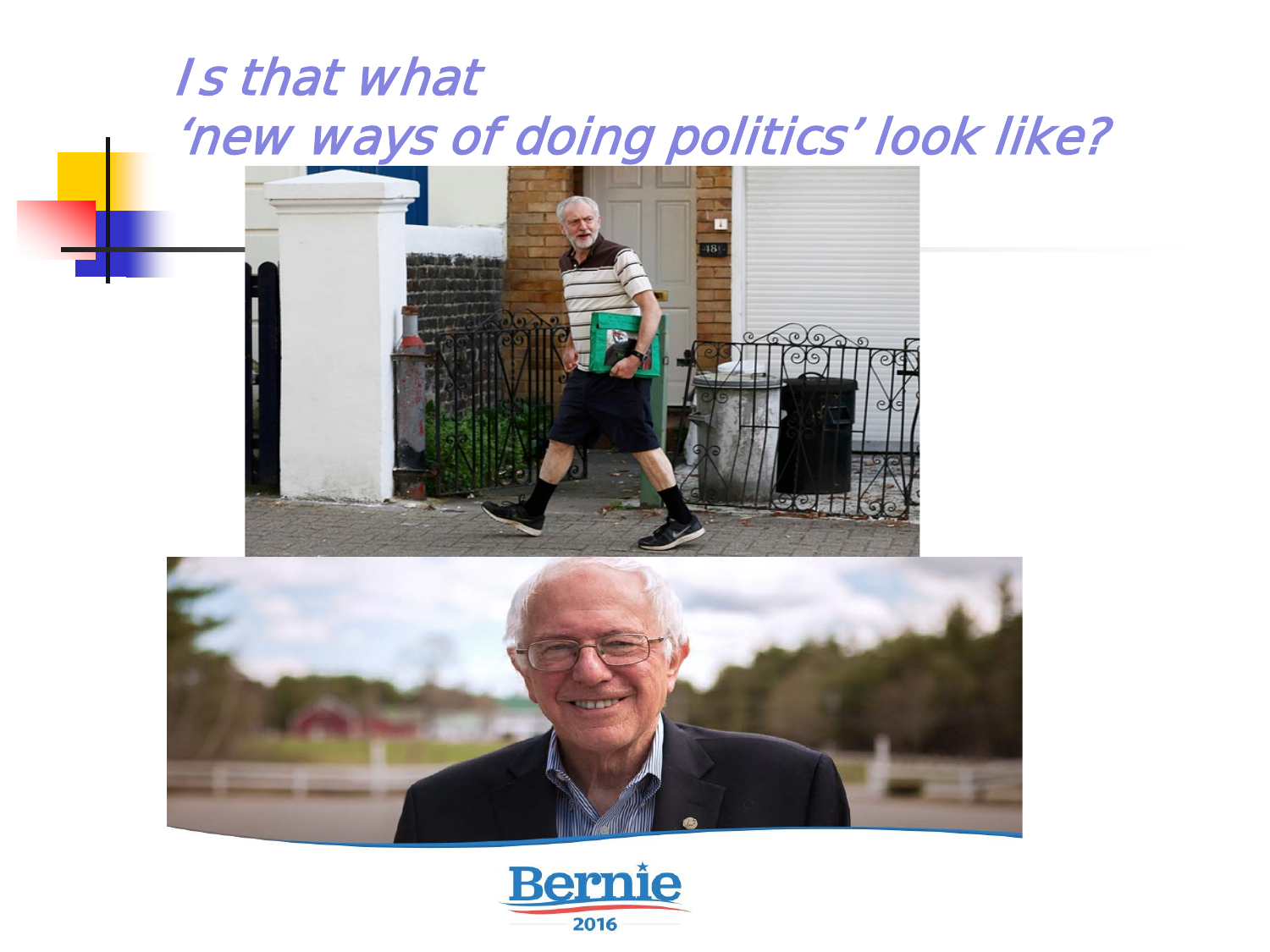#### Is that what 'new ways of doing politics' look like?





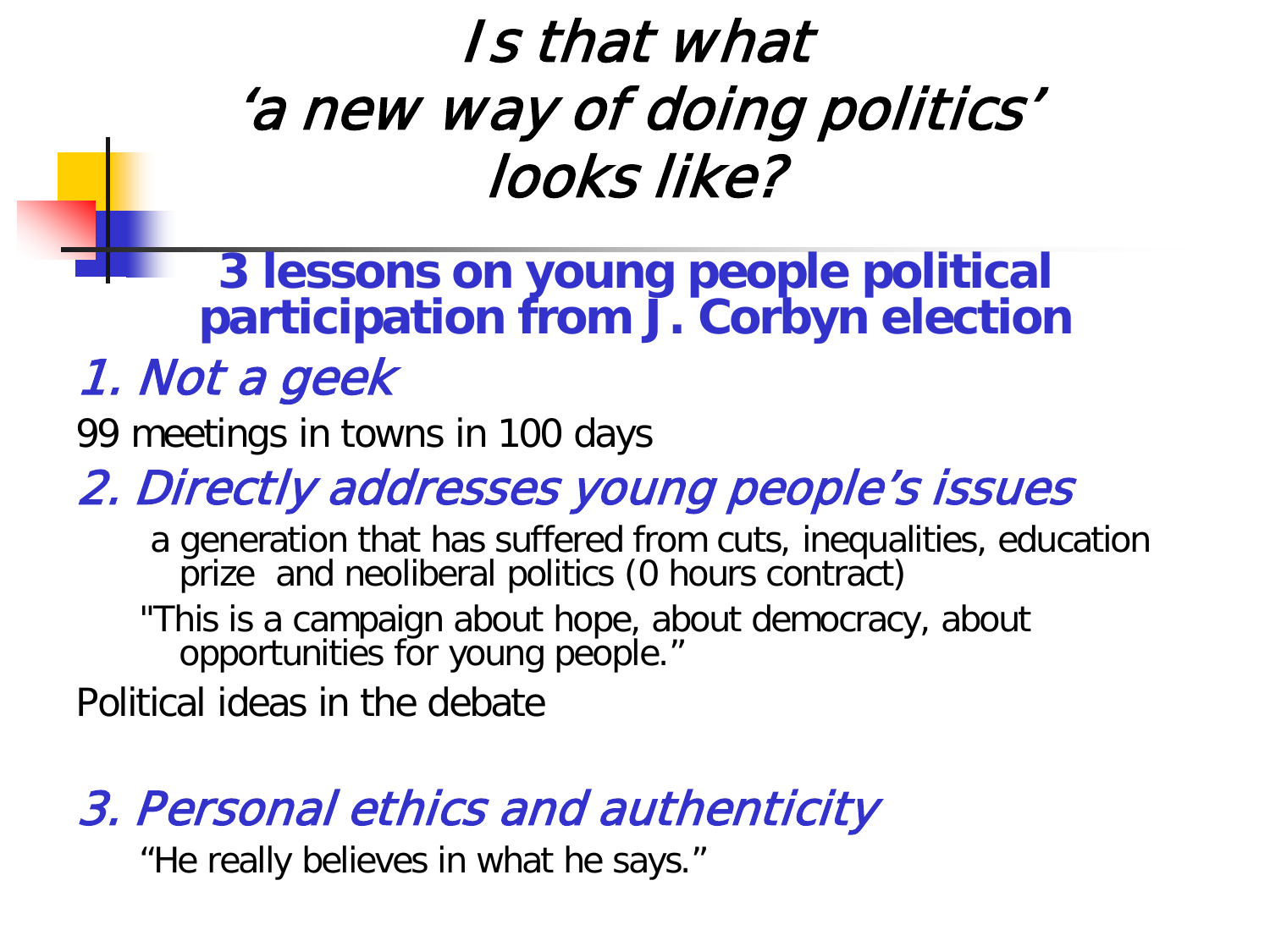### Is that what 'a new way of doing politics' looks like?

**3 lessons on young people political participation from J. Corbyn election**

#### 1. Not a geek

99 meetings in towns in 100 days

#### 2. Directly addresses young people's issues

a generation that has suffered from cuts, inequalities, education prize and neoliberal politics (0 hours contract)

"This is a campaign about hope, about democracy, about opportunities for young people."

Political ideas in the debate

#### 3. Personal ethics and authenticity

"He really believes in what he says."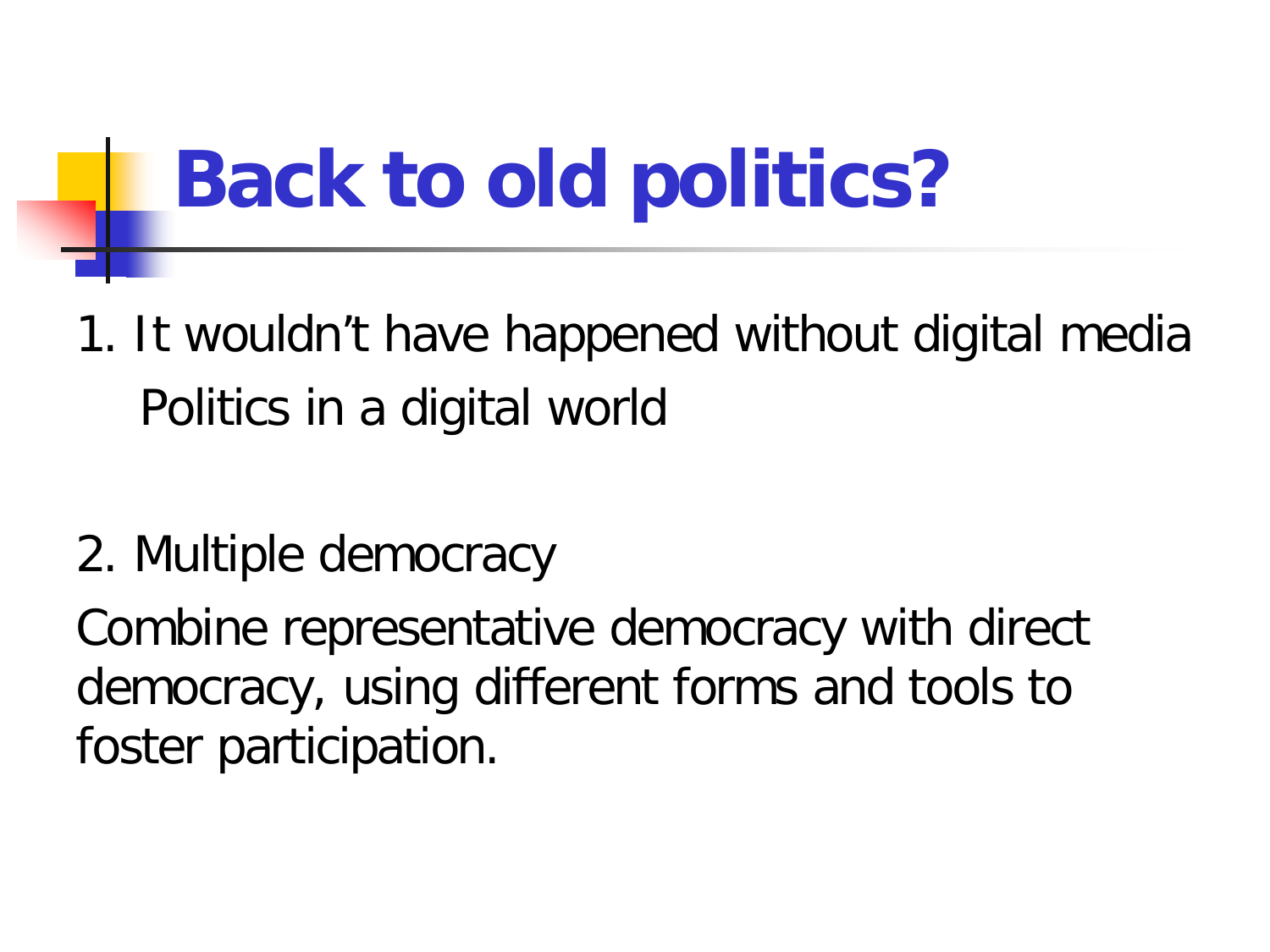# **Back to old politics?**

- 1. It wouldn't have happened without digital media Politics in a digital world
- 2. Multiple democracy

Combine representative democracy with direct democracy, using different forms and tools to foster participation.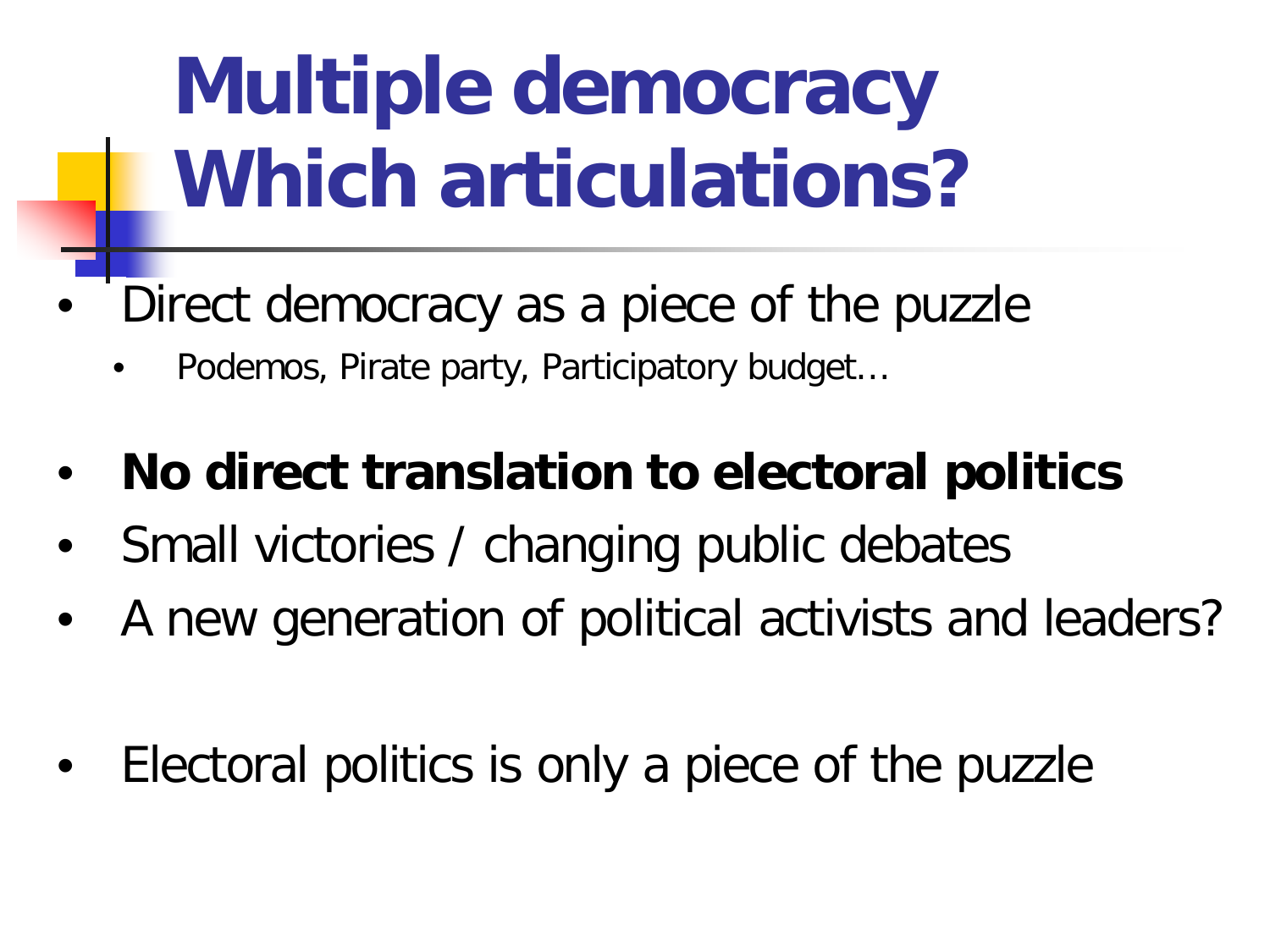# **Multiple democracy Which articulations?**

- Direct democracy as a piece of the puzzle
	- Podemos, Pirate party, Participatory budget…
- **No direct translation to electoral politics**
- Small victories / changing public debates
- A new generation of political activists and leaders?
- Electoral politics is only a piece of the puzzle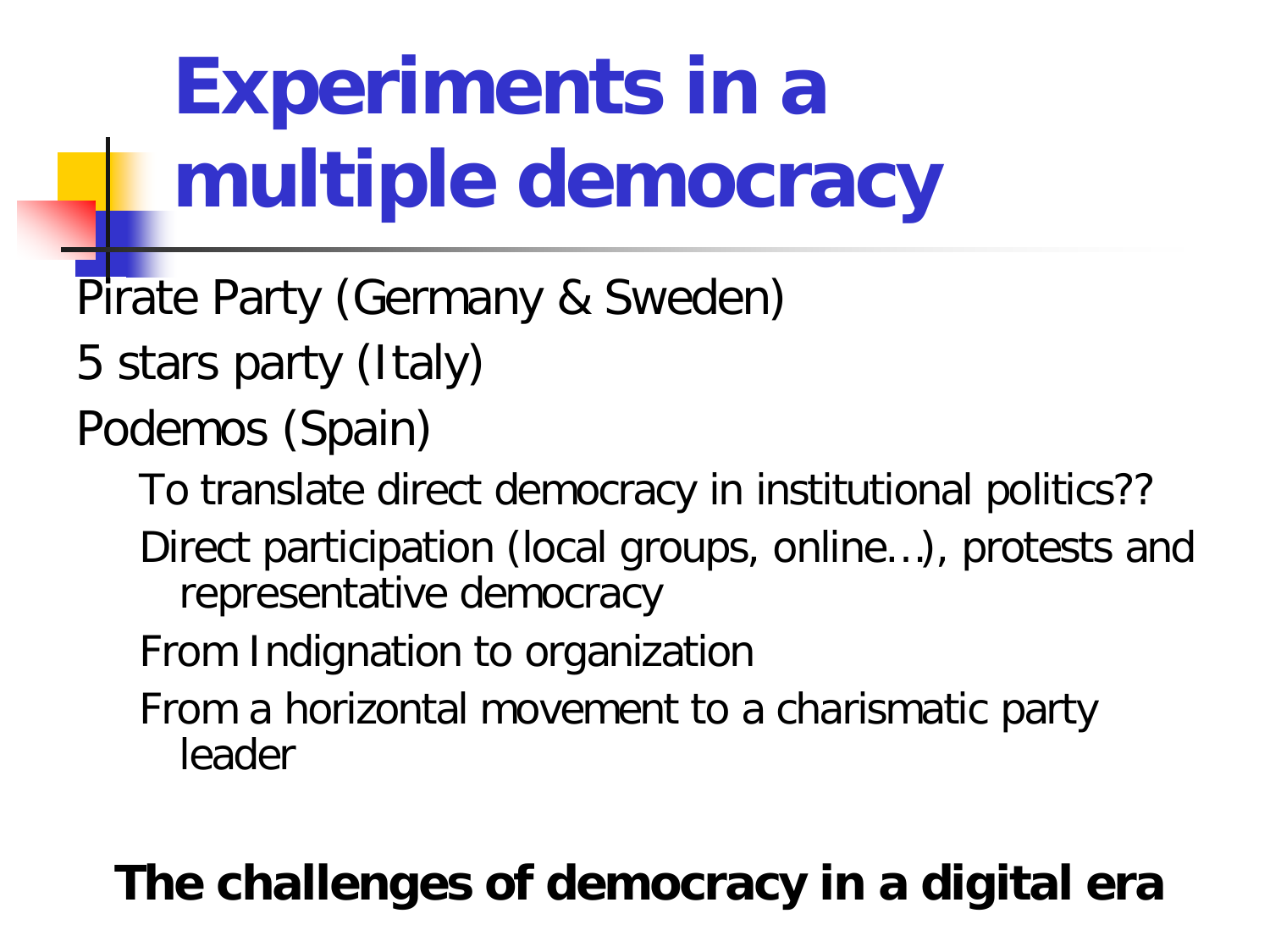# **Experiments in a multiple democracy**

- Pirate Party (Germany & Sweden)
- 5 stars party (Italy)
- Podemos (Spain)
	- To translate direct democracy in institutional politics??
	- Direct participation (local groups, online…), protests and representative democracy
	- From Indignation to organization
	- From a horizontal movement to a charismatic party leader

### **The challenges of democracy in a digital era**